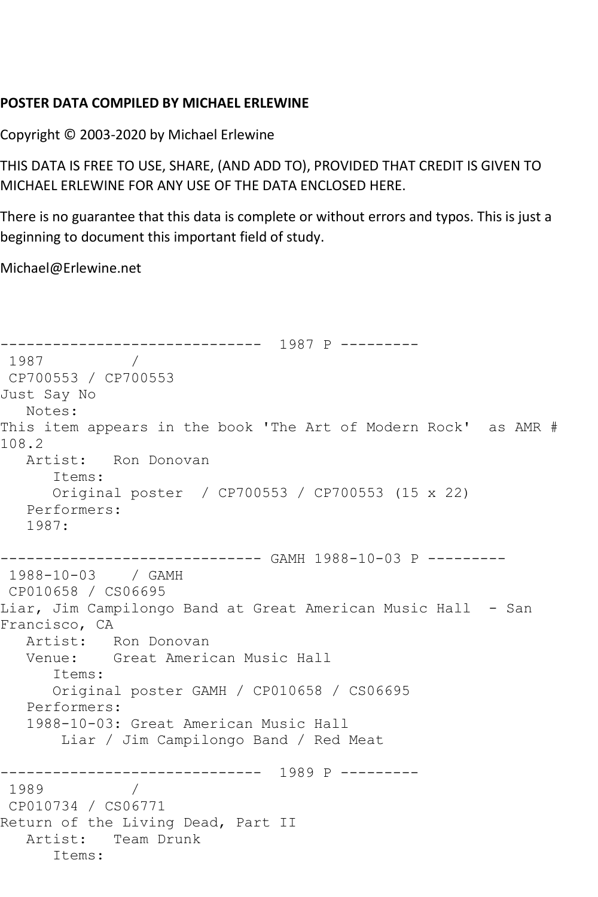## **POSTER DATA COMPILED BY MICHAEL ERLEWINE**

Copyright © 2003-2020 by Michael Erlewine

THIS DATA IS FREE TO USE, SHARE, (AND ADD TO), PROVIDED THAT CREDIT IS GIVEN TO MICHAEL ERLEWINE FOR ANY USE OF THE DATA ENCLOSED HERE.

There is no guarantee that this data is complete or without errors and typos. This is just a beginning to document this important field of study.

Michael@Erlewine.net

------------------------------ 1987 P --------- 1987 / CP700553 / CP700553 Just Say No Notes: This item appears in the book 'The Art of Modern Rock' as AMR # 108.2 Artist: Ron Donovan Items: Original poster / CP700553 / CP700553 (15 x 22) Performers: 1987: ------------------------------ GAMH 1988-10-03 P --------- 1988-10-03 / GAMH CP010658 / CS06695 Liar, Jim Campilongo Band at Great American Music Hall - San Francisco, CA Artist: Ron Donovan Venue: Great American Music Hall Items: Original poster GAMH / CP010658 / CS06695 Performers: 1988-10-03: Great American Music Hall Liar / Jim Campilongo Band / Red Meat ------------------------------ 1989 P --------- 1989 / CP010734 / CS06771 Return of the Living Dead, Part II Artist: Team Drunk Items: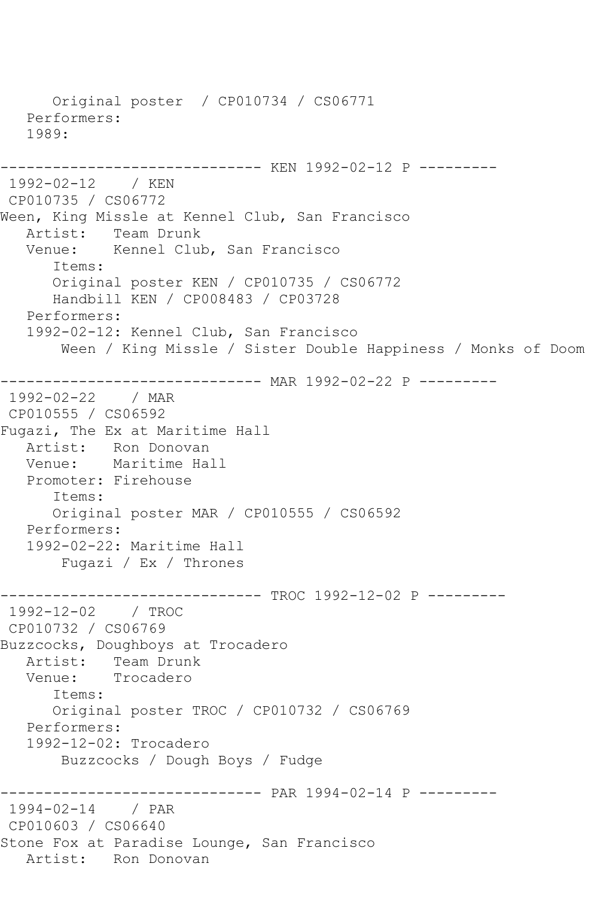Original poster / CP010734 / CS06771 Performers: 1989: ------------------------------ KEN 1992-02-12 P --------- 1992-02-12 / KEN CP010735 / CS06772 Ween, King Missle at Kennel Club, San Francisco Artist: Team Drunk<br>Venue: Kennel Clul Kennel Club, San Francisco Items: Original poster KEN / CP010735 / CS06772 Handbill KEN / CP008483 / CP03728 Performers: 1992-02-12: Kennel Club, San Francisco Ween / King Missle / Sister Double Happiness / Monks of Doom ------------------------------ MAR 1992-02-22 P --------- 1992-02-22 / MAR CP010555 / CS06592 Fugazi, The Ex at Maritime Hall Artist: Ron Donovan<br>Venue: Maritime Hal Maritime Hall Promoter: Firehouse Items: Original poster MAR / CP010555 / CS06592 Performers: 1992-02-22: Maritime Hall Fugazi / Ex / Thrones --------- TROC 1992-12-02 P ---------1992-12-02 / TROC CP010732 / CS06769 Buzzcocks, Doughboys at Trocadero Artist: Team Drunk Venue: Trocadero Items: Original poster TROC / CP010732 / CS06769 Performers: 1992-12-02: Trocadero Buzzcocks / Dough Boys / Fudge ------------------------------ PAR 1994-02-14 P --------- 1994-02-14 / PAR CP010603 / CS06640 Stone Fox at Paradise Lounge, San Francisco Artist: Ron Donovan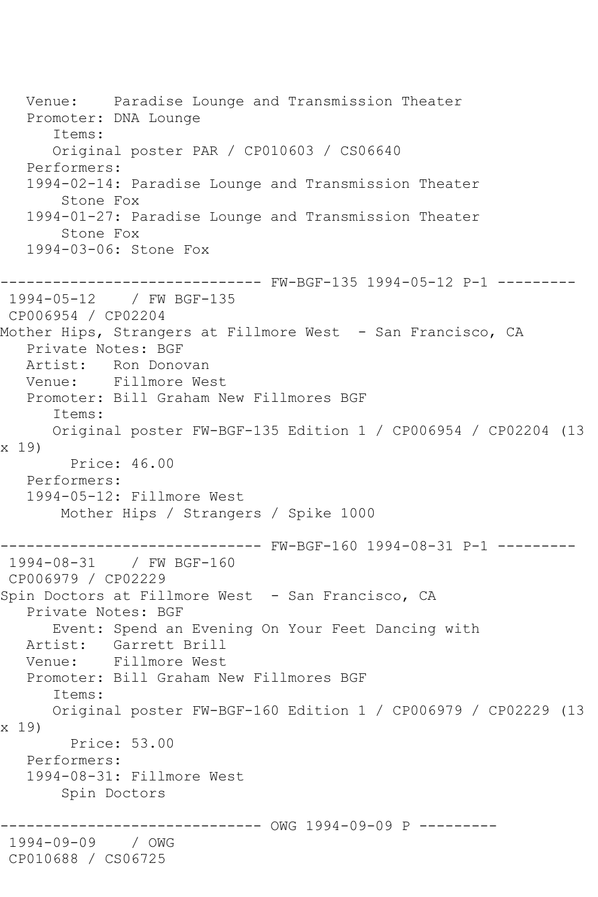Venue: Paradise Lounge and Transmission Theater Promoter: DNA Lounge Items: Original poster PAR / CP010603 / CS06640 Performers: 1994-02-14: Paradise Lounge and Transmission Theater Stone Fox 1994-01-27: Paradise Lounge and Transmission Theater Stone Fox 1994-03-06: Stone Fox ------------------------------ FW-BGF-135 1994-05-12 P-1 --------- 1994-05-12 / FW BGF-135 CP006954 / CP02204 Mother Hips, Strangers at Fillmore West - San Francisco, CA Private Notes: BGF Artist: Ron Donovan Venue: Fillmore West Promoter: Bill Graham New Fillmores BGF Items: Original poster FW-BGF-135 Edition 1 / CP006954 / CP02204 (13 x 19) Price: 46.00 Performers: 1994-05-12: Fillmore West Mother Hips / Strangers / Spike 1000 ------------------------------ FW-BGF-160 1994-08-31 P-1 --------- 1994-08-31 / FW BGF-160 CP006979 / CP02229 Spin Doctors at Fillmore West - San Francisco, CA Private Notes: BGF Event: Spend an Evening On Your Feet Dancing with Artist: Garrett Brill Venue: Fillmore West Promoter: Bill Graham New Fillmores BGF Items: Original poster FW-BGF-160 Edition 1 / CP006979 / CP02229 (13 x 19) Price: 53.00 Performers: 1994-08-31: Fillmore West Spin Doctors -------------- OWG 1994-09-09 P ---------1994-09-09 / OWG CP010688 / CS06725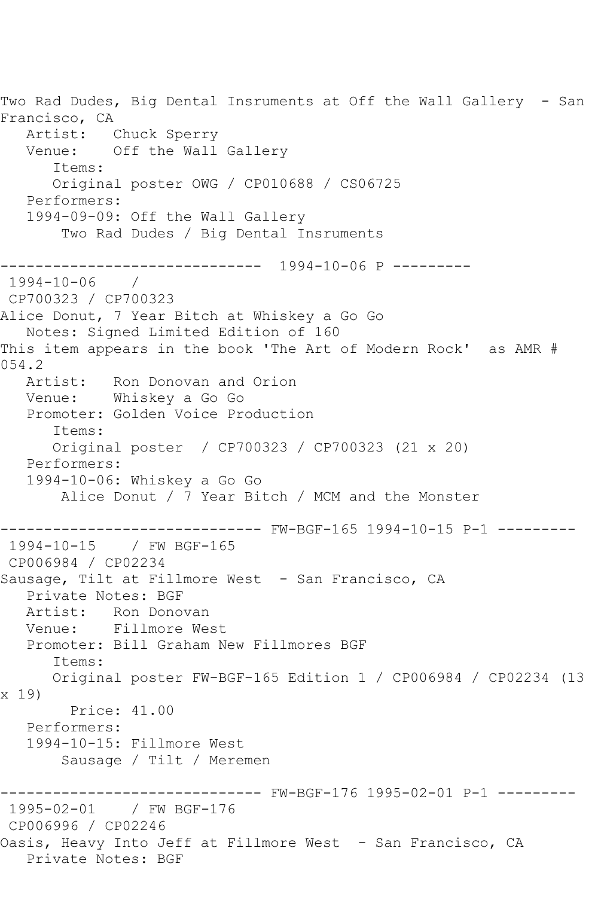Two Rad Dudes, Big Dental Insruments at Off the Wall Gallery - San Francisco, CA Artist: Chuck Sperry Venue: Off the Wall Gallery Items: Original poster OWG / CP010688 / CS06725 Performers: 1994-09-09: Off the Wall Gallery Two Rad Dudes / Big Dental Insruments ------------------------------ 1994-10-06 P --------- 1994-10-06 / CP700323 / CP700323 Alice Donut, 7 Year Bitch at Whiskey a Go Go Notes: Signed Limited Edition of 160 This item appears in the book 'The Art of Modern Rock' as AMR # 054.2 Artist: Ron Donovan and Orion Venue: Whiskey a Go Go Promoter: Golden Voice Production Items: Original poster / CP700323 / CP700323 (21 x 20) Performers: 1994-10-06: Whiskey a Go Go Alice Donut / 7 Year Bitch / MCM and the Monster ------------------------------ FW-BGF-165 1994-10-15 P-1 --------- 1994-10-15 / FW BGF-165 CP006984 / CP02234 Sausage, Tilt at Fillmore West - San Francisco, CA Private Notes: BGF Artist: Ron Donovan Venue: Fillmore West Promoter: Bill Graham New Fillmores BGF Items: Original poster FW-BGF-165 Edition 1 / CP006984 / CP02234 (13 x 19) Price: 41.00 Performers: 1994-10-15: Fillmore West Sausage / Tilt / Meremen ------------------------------ FW-BGF-176 1995-02-01 P-1 --------- 1995-02-01 / FW BGF-176 CP006996 / CP02246 Oasis, Heavy Into Jeff at Fillmore West - San Francisco, CA Private Notes: BGF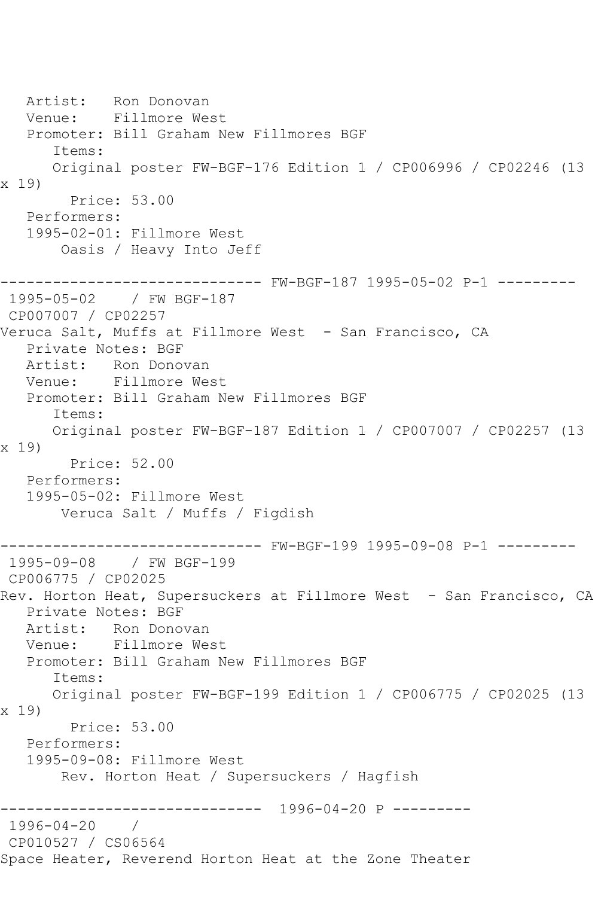Artist: Ron Donovan Venue: Fillmore West Promoter: Bill Graham New Fillmores BGF Items: Original poster FW-BGF-176 Edition 1 / CP006996 / CP02246 (13 x 19) Price: 53.00 Performers: 1995-02-01: Fillmore West Oasis / Heavy Into Jeff ------------------------------ FW-BGF-187 1995-05-02 P-1 --------- 1995-05-02 / FW BGF-187 CP007007 / CP02257 Veruca Salt, Muffs at Fillmore West - San Francisco, CA Private Notes: BGF Artist: Ron Donovan Venue: Fillmore West Promoter: Bill Graham New Fillmores BGF Items: Original poster FW-BGF-187 Edition 1 / CP007007 / CP02257 (13 x 19) Price: 52.00 Performers: 1995-05-02: Fillmore West Veruca Salt / Muffs / Figdish ------------------------------ FW-BGF-199 1995-09-08 P-1 --------- 1995-09-08 / FW BGF-199 CP006775 / CP02025 Rev. Horton Heat, Supersuckers at Fillmore West - San Francisco, CA Private Notes: BGF Artist: Ron Donovan<br>Venue: Fillmore We Fillmore West Promoter: Bill Graham New Fillmores BGF Items: Original poster FW-BGF-199 Edition 1 / CP006775 / CP02025 (13 x 19) Price: 53.00 Performers: 1995-09-08: Fillmore West Rev. Horton Heat / Supersuckers / Hagfish ------------------------------ 1996-04-20 P --------- 1996-04-20 / CP010527 / CS06564 Space Heater, Reverend Horton Heat at the Zone Theater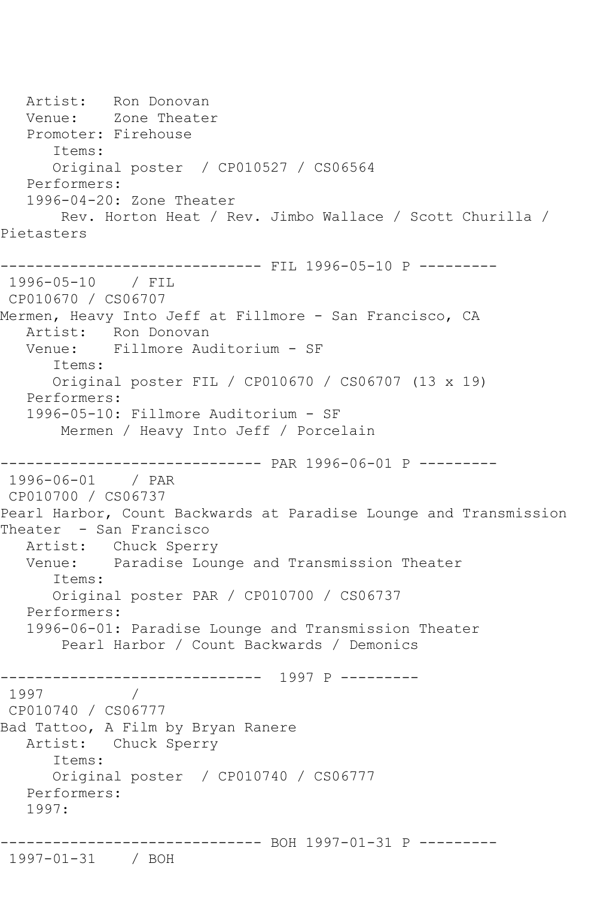Artist: Ron Donovan<br>Venue: Zone Theate Zone Theater Promoter: Firehouse Items: Original poster / CP010527 / CS06564 Performers: 1996-04-20: Zone Theater Rev. Horton Heat / Rev. Jimbo Wallace / Scott Churilla / Pietasters ------------------------------ FIL 1996-05-10 P --------- 1996-05-10 / FIL CP010670 / CS06707 Mermen, Heavy Into Jeff at Fillmore - San Francisco, CA Artist: Ron Donovan Venue: Fillmore Auditorium - SF Items: Original poster FIL / CP010670 / CS06707 (13 x 19) Performers: 1996-05-10: Fillmore Auditorium - SF Mermen / Heavy Into Jeff / Porcelain ------------------------------ PAR 1996-06-01 P --------- 1996-06-01 / PAR CP010700 / CS06737 Pearl Harbor, Count Backwards at Paradise Lounge and Transmission Theater - San Francisco Artist: Chuck Sperry Venue: Paradise Lounge and Transmission Theater Items: Original poster PAR / CP010700 / CS06737 Performers: 1996-06-01: Paradise Lounge and Transmission Theater Pearl Harbor / Count Backwards / Demonics ------------------------------ 1997 P --------- 1997 CP010740 / CS06777 Bad Tattoo, A Film by Bryan Ranere Artist: Chuck Sperry Items: Original poster / CP010740 / CS06777 Performers: 1997: ------------------------------ BOH 1997-01-31 P --------- 1997-01-31 / BOH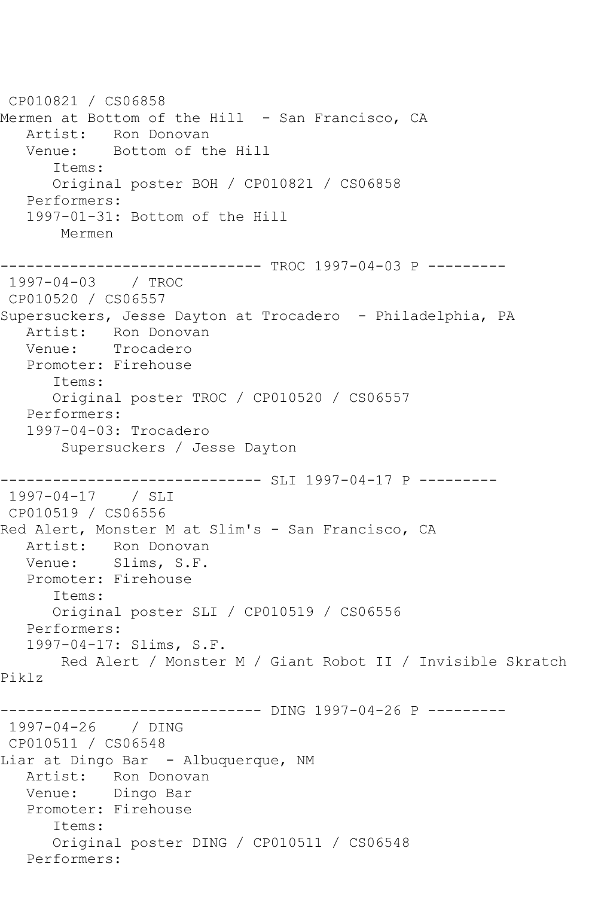CP010821 / CS06858 Mermen at Bottom of the Hill - San Francisco, CA Artist: Ron Donovan Venue: Bottom of the Hill Items: Original poster BOH / CP010821 / CS06858 Performers: 1997-01-31: Bottom of the Hill Mermen ------------------------------ TROC 1997-04-03 P --------- 1997-04-03 / TROC CP010520 / CS06557 Supersuckers, Jesse Dayton at Trocadero - Philadelphia, PA Artist: Ron Donovan Venue: Trocadero Promoter: Firehouse Items: Original poster TROC / CP010520 / CS06557 Performers: 1997-04-03: Trocadero Supersuckers / Jesse Dayton ------------------------------ SLI 1997-04-17 P --------- 1997-04-17 / SLI CP010519 / CS06556 Red Alert, Monster M at Slim's - San Francisco, CA Artist: Ron Donovan Venue: Slims, S.F. Promoter: Firehouse Items: Original poster SLI / CP010519 / CS06556 Performers: 1997-04-17: Slims, S.F. Red Alert / Monster M / Giant Robot II / Invisible Skratch Piklz ---------- DING 1997-04-26 P ---------1997-04-26 / DING CP010511 / CS06548 Liar at Dingo Bar - Albuquerque, NM Artist: Ron Donovan Venue: Dingo Bar Promoter: Firehouse Items: Original poster DING / CP010511 / CS06548 Performers: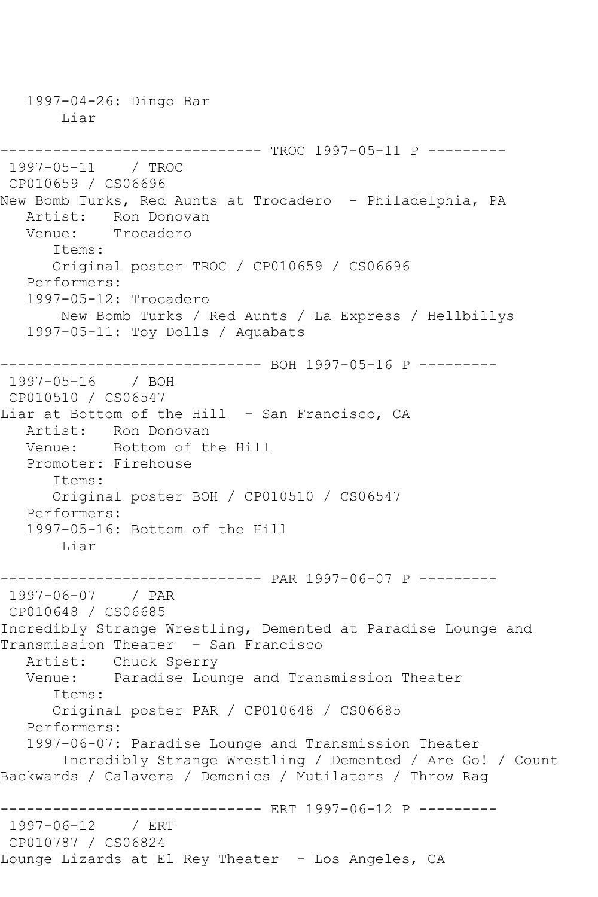1997-04-26: Dingo Bar Liar ------------------------------ TROC 1997-05-11 P --------- 1997-05-11 / TROC CP010659 / CS06696 New Bomb Turks, Red Aunts at Trocadero - Philadelphia, PA Artist: Ron Donovan Venue: Trocadero Items: Original poster TROC / CP010659 / CS06696 Performers: 1997-05-12: Trocadero New Bomb Turks / Red Aunts / La Express / Hellbillys 1997-05-11: Toy Dolls / Aquabats ------------------------------ BOH 1997-05-16 P --------- 1997-05-16 / BOH CP010510 / CS06547 Liar at Bottom of the Hill - San Francisco, CA Artist: Ron Donovan Venue: Bottom of the Hill Promoter: Firehouse Items: Original poster BOH / CP010510 / CS06547 Performers: 1997-05-16: Bottom of the Hill Liar ------------------------------ PAR 1997-06-07 P --------- 1997-06-07 / PAR CP010648 / CS06685 Incredibly Strange Wrestling, Demented at Paradise Lounge and Transmission Theater - San Francisco Artist: Chuck Sperry Venue: Paradise Lounge and Transmission Theater Items: Original poster PAR / CP010648 / CS06685 Performers: 1997-06-07: Paradise Lounge and Transmission Theater Incredibly Strange Wrestling / Demented / Are Go! / Count Backwards / Calavera / Demonics / Mutilators / Throw Rag ------------------------------ ERT 1997-06-12 P --------- 1997-06-12 / ERT CP010787 / CS06824 Lounge Lizards at El Rey Theater - Los Angeles, CA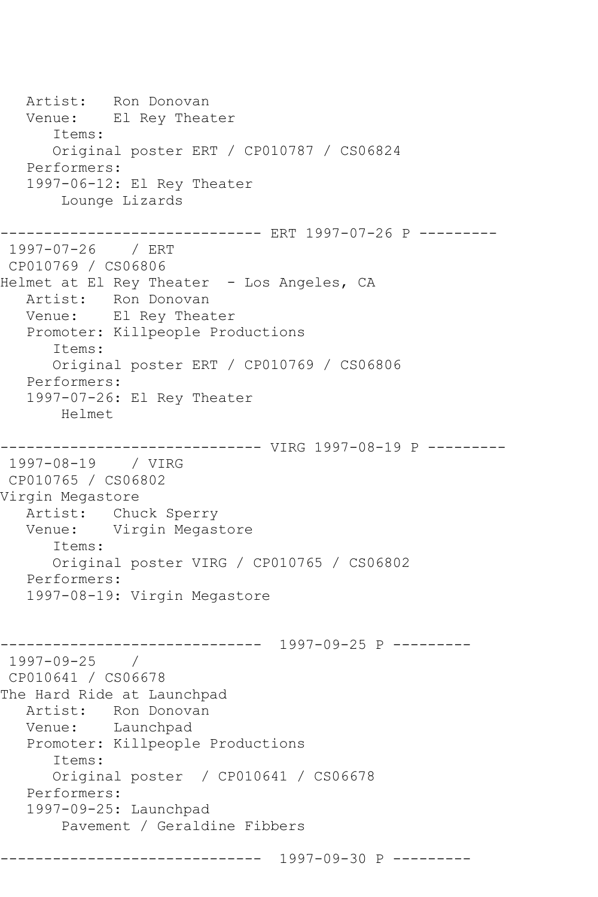Artist: Ron Donovan Venue: El Rey Theater Items: Original poster ERT / CP010787 / CS06824 Performers: 1997-06-12: El Rey Theater Lounge Lizards ------------------------------ ERT 1997-07-26 P --------- 1997-07-26 / ERT CP010769 / CS06806 Helmet at El Rey Theater - Los Angeles, CA Artist: Ron Donovan Venue: El Rey Theater Promoter: Killpeople Productions Items: Original poster ERT / CP010769 / CS06806 Performers: 1997-07-26: El Rey Theater Helmet ---------- VIRG 1997-08-19 P ---------1997-08-19 / VIRG CP010765 / CS06802 Virgin Megastore Artist: Chuck Sperry Venue: Virgin Megastore Items: Original poster VIRG / CP010765 / CS06802 Performers: 1997-08-19: Virgin Megastore ------------------------------ 1997-09-25 P --------- 1997-09-25 / CP010641 / CS06678 The Hard Ride at Launchpad Artist: Ron Donovan Venue: Launchpad Promoter: Killpeople Productions Items: Original poster / CP010641 / CS06678 Performers: 1997-09-25: Launchpad Pavement / Geraldine Fibbers ------------------------------ 1997-09-30 P ---------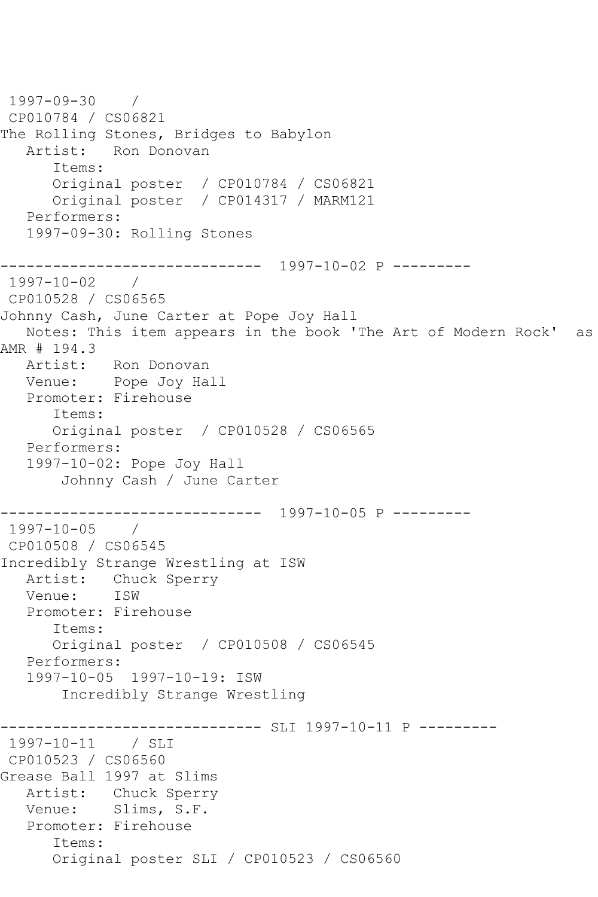```
1997-09-30 / 
CP010784 / CS06821
The Rolling Stones, Bridges to Babylon
   Artist: Ron Donovan
       Items:
       Original poster / CP010784 / CS06821
       Original poster / CP014317 / MARM121
   Performers:
    1997-09-30: Rolling Stones
------------------------------ 1997-10-02 P ---------
1997-10-02 / 
CP010528 / CS06565
Johnny Cash, June Carter at Pope Joy Hall
   Notes: This item appears in the book 'The Art of Modern Rock' as 
AMR # 194.3
   Artist: Ron Donovan
   Venue: Pope Joy Hall
   Promoter: Firehouse
       Items:
       Original poster / CP010528 / CS06565
    Performers:
    1997-10-02: Pope Joy Hall
        Johnny Cash / June Carter
            ------------------------------ 1997-10-05 P ---------
1997 - 10 - 05CP010508 / CS06545
Incredibly Strange Wrestling at ISW
   Artist: Chuck Sperry
   Venue: ISW
   Promoter: Firehouse
       Items:
       Original poster / CP010508 / CS06545
   Performers:
    1997-10-05 1997-10-19: ISW
        Incredibly Strange Wrestling
                ------------------------------ SLI 1997-10-11 P ---------
1997-10-11 / SLI 
CP010523 / CS06560
Grease Ball 1997 at Slims
   Artist: Chuck Sperry
   Venue: Slims, S.F.
   Promoter: Firehouse
       Items:
       Original poster SLI / CP010523 / CS06560
```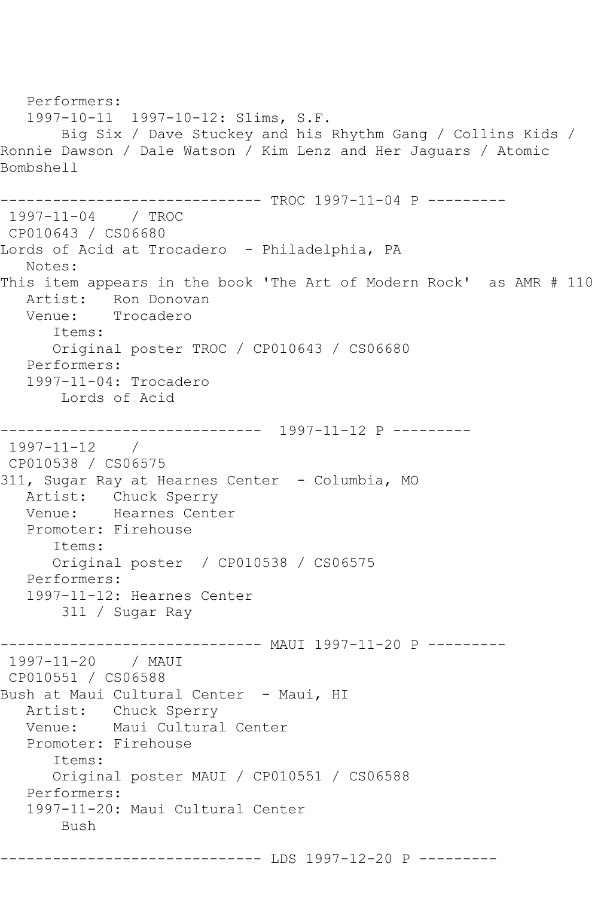```
 Performers:
   1997-10-11 1997-10-12: Slims, S.F.
       Big Six / Dave Stuckey and his Rhythm Gang / Collins Kids / 
Ronnie Dawson / Dale Watson / Kim Lenz and Her Jaguars / Atomic 
Bombshell
------------------------------ TROC 1997-11-04 P ---------
1997-11-04 / TROC 
CP010643 / CS06680
Lords of Acid at Trocadero - Philadelphia, PA
   Notes: 
This item appears in the book 'The Art of Modern Rock' as AMR # 110
   Artist: Ron Donovan
   Venue: Trocadero
       Items:
       Original poster TROC / CP010643 / CS06680
   Performers:
   1997-11-04: Trocadero
       Lords of Acid
------------------------------ 1997-11-12 P ---------
1997-11-12 / 
CP010538 / CS06575
311, Sugar Ray at Hearnes Center - Columbia, MO
  Artist: Chuck Sperry<br>Venue: Hearnes Cente
           Hearnes Center
   Promoter: Firehouse
       Items:
      Original poster / CP010538 / CS06575
   Performers:
   1997-11-12: Hearnes Center
        311 / Sugar Ray
------------------------------ MAUI 1997-11-20 P ---------
1997-11-20 / MAUI 
CP010551 / CS06588
Bush at Maui Cultural Center - Maui, HI
   Artist: Chuck Sperry
   Venue: Maui Cultural Center
   Promoter: Firehouse
       Items:
      Original poster MAUI / CP010551 / CS06588
   Performers:
   1997-11-20: Maui Cultural Center
       Bush
------------------------------ LDS 1997-12-20 P ---------
```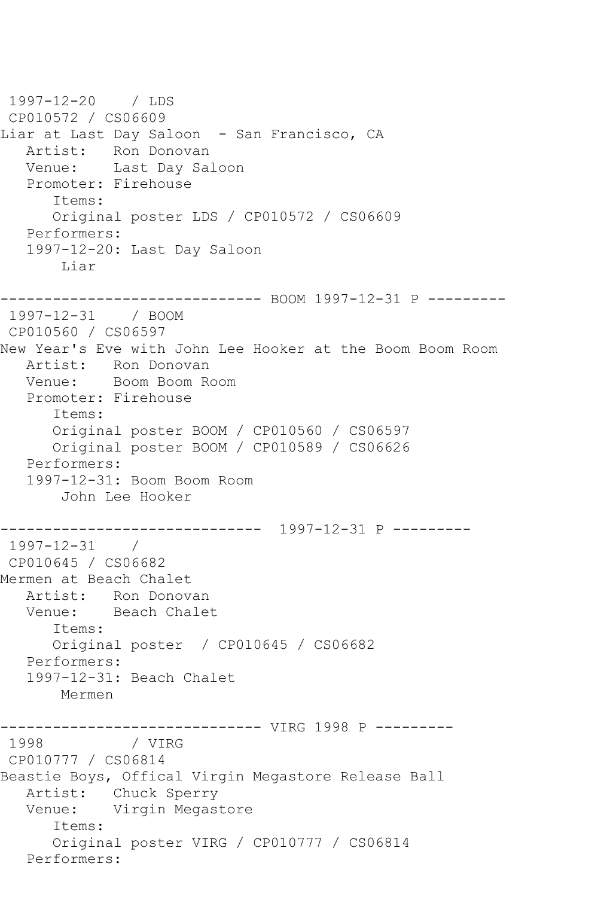1997-12-20 / LDS CP010572 / CS06609 Liar at Last Day Saloon - San Francisco, CA Artist: Ron Donovan Venue: Last Day Saloon Promoter: Firehouse Items: Original poster LDS / CP010572 / CS06609 Performers: 1997-12-20: Last Day Saloon Liar ------------------------------ BOOM 1997-12-31 P --------- 1997-12-31 / BOOM CP010560 / CS06597 New Year's Eve with John Lee Hooker at the Boom Boom Room Artist: Ron Donovan<br>Venue: Boom Boom Ro Boom Boom Room Promoter: Firehouse Items: Original poster BOOM / CP010560 / CS06597 Original poster BOOM / CP010589 / CS06626 Performers: 1997-12-31: Boom Boom Room John Lee Hooker ------------------------------ 1997-12-31 P --------- 1997-12-31 / CP010645 / CS06682 Mermen at Beach Chalet Artist: Ron Donovan Venue: Beach Chalet Items: Original poster / CP010645 / CS06682 Performers: 1997-12-31: Beach Chalet Mermen -------------------------------- VIRG 1998 P ---------<br>1998 / VIRG 1998 CP010777 / CS06814 Beastie Boys, Offical Virgin Megastore Release Ball Artist: Chuck Sperry Venue: Virgin Megastore Items: Original poster VIRG / CP010777 / CS06814 Performers: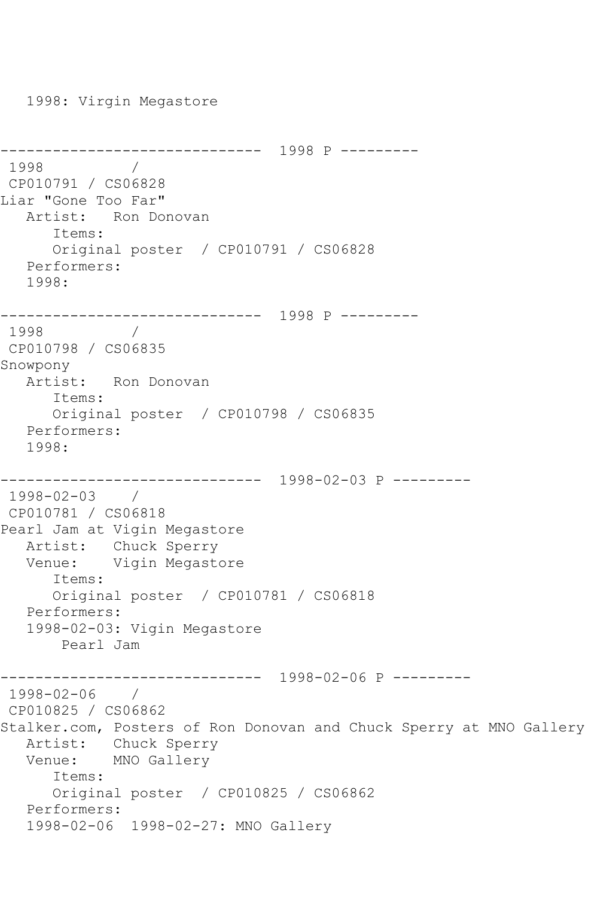1998: Virgin Megastore ------------------------------ 1998 P --------- 1998 / CP010791 / CS06828 Liar "Gone Too Far" Artist: Ron Donovan Items: Original poster / CP010791 / CS06828 Performers: 1998: ------------------------------ 1998 P --------- 1998 CP010798 / CS06835 Snowpony Artist: Ron Donovan Items: Original poster / CP010798 / CS06835 Performers: 1998: ------------------------------ 1998-02-03 P --------- 1998-02-03 / CP010781 / CS06818 Pearl Jam at Vigin Megastore Artist: Chuck Sperry Venue: Vigin Megastore Items: Original poster / CP010781 / CS06818 Performers: 1998-02-03: Vigin Megastore Pearl Jam ------------------------------ 1998-02-06 P --------- 1998-02-06 / CP010825 / CS06862 Stalker.com, Posters of Ron Donovan and Chuck Sperry at MNO Gallery Artist: Chuck Sperry Venue: MNO Gallery Items: Original poster / CP010825 / CS06862 Performers: 1998-02-06 1998-02-27: MNO Gallery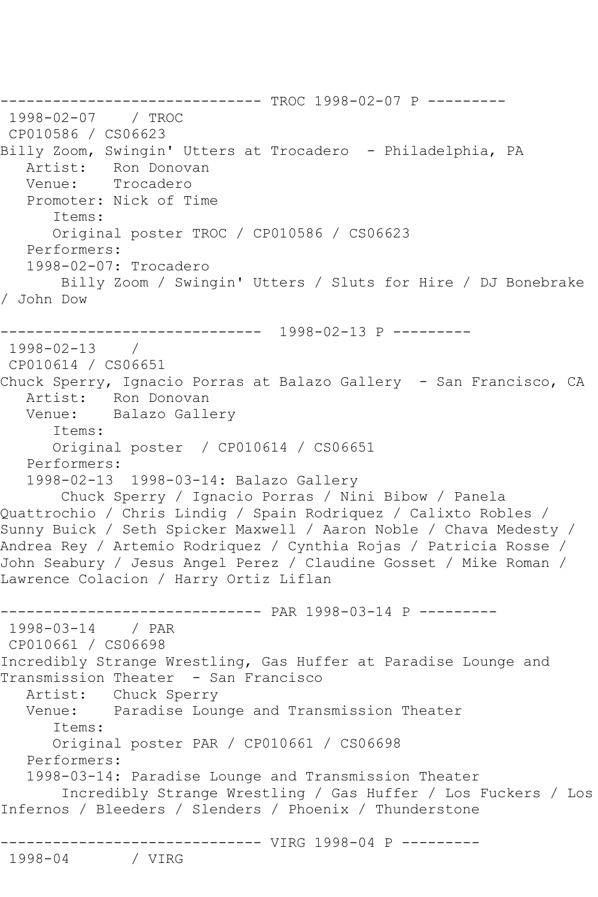------------------------------ TROC 1998-02-07 P ---------  $1998 - 02 - 07$ CP010586 / CS06623 Billy Zoom, Swingin' Utters at Trocadero - Philadelphia, PA Artist: Ron Donovan Venue: Trocadero Promoter: Nick of Time Items: Original poster TROC / CP010586 / CS06623 Performers: 1998-02-07: Trocadero Billy Zoom / Swingin' Utters / Sluts for Hire / DJ Bonebrake / John Dow ------------------------------ 1998-02-13 P --------- 1998-02-13 / CP010614 / CS06651 Chuck Sperry, Ignacio Porras at Balazo Gallery - San Francisco, CA Artist: Ron Donovan<br>Venue: Balazo Galle Balazo Gallery Items: Original poster / CP010614 / CS06651 Performers: 1998-02-13 1998-03-14: Balazo Gallery Chuck Sperry / Ignacio Porras / Nini Bibow / Panela Quattrochio / Chris Lindig / Spain Rodriquez / Calixto Robles / Sunny Buick / Seth Spicker Maxwell / Aaron Noble / Chava Medesty / Andrea Rey / Artemio Rodriquez / Cynthia Rojas / Patricia Rosse / John Seabury / Jesus Angel Perez / Claudine Gosset / Mike Roman / Lawrence Colacion / Harry Ortiz Liflan ------------------------------ PAR 1998-03-14 P --------- 1998-03-14 / PAR CP010661 / CS06698 Incredibly Strange Wrestling, Gas Huffer at Paradise Lounge and Transmission Theater - San Francisco Artist: Chuck Sperry Venue: Paradise Lounge and Transmission Theater Items: Original poster PAR / CP010661 / CS06698 Performers: 1998-03-14: Paradise Lounge and Transmission Theater Incredibly Strange Wrestling / Gas Huffer / Los Fuckers / Los Infernos / Bleeders / Slenders / Phoenix / Thunderstone ------------------- VIRG 1998-04 P ----------<br>/ VIRG 1998-04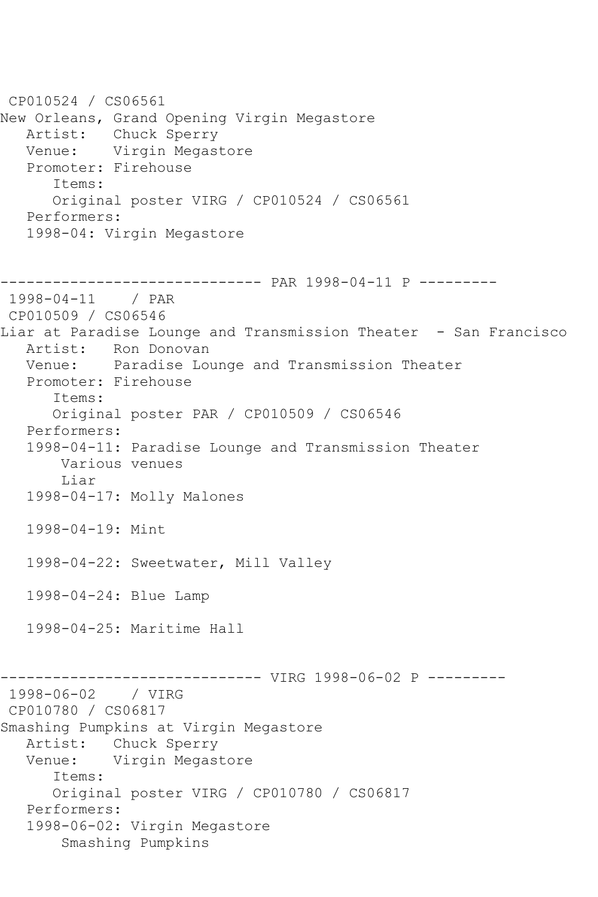CP010524 / CS06561 New Orleans, Grand Opening Virgin Megastore Artist: Chuck Sperry Venue: Virgin Megastore Promoter: Firehouse Items: Original poster VIRG / CP010524 / CS06561 Performers: 1998-04: Virgin Megastore ------------------------------ PAR 1998-04-11 P --------- 1998-04-11 / PAR CP010509 / CS06546 Liar at Paradise Lounge and Transmission Theater - San Francisco Artist: Ron Donovan Venue: Paradise Lounge and Transmission Theater Promoter: Firehouse Items: Original poster PAR / CP010509 / CS06546 Performers: 1998-04-11: Paradise Lounge and Transmission Theater Various venues Liar 1998-04-17: Molly Malones 1998-04-19: Mint 1998-04-22: Sweetwater, Mill Valley 1998-04-24: Blue Lamp 1998-04-25: Maritime Hall ------------------------------ VIRG 1998-06-02 P --------- 1998-06-02 / VIRG CP010780 / CS06817 Smashing Pumpkins at Virgin Megastore Artist: Chuck Sperry Venue: Virgin Megastore Items: Original poster VIRG / CP010780 / CS06817 Performers: 1998-06-02: Virgin Megastore Smashing Pumpkins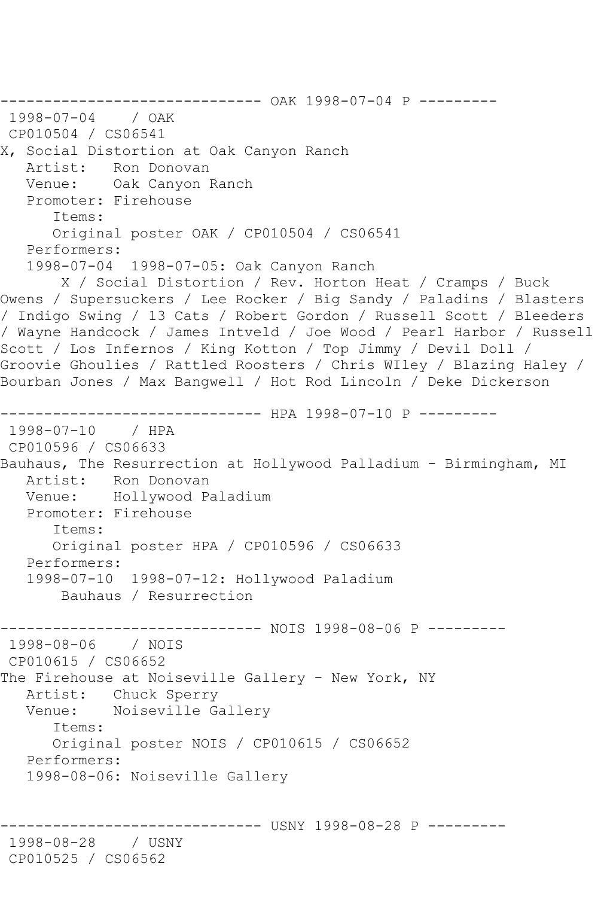```
------------------------------ OAK 1998-07-04 P ---------
1998-07-04 / OAK 
CP010504 / CS06541
X, Social Distortion at Oak Canyon Ranch
   Artist: Ron Donovan
   Venue: Oak Canyon Ranch
   Promoter: Firehouse
      Items:
      Original poster OAK / CP010504 / CS06541
   Performers:
   1998-07-04 1998-07-05: Oak Canyon Ranch
       X / Social Distortion / Rev. Horton Heat / Cramps / Buck 
Owens / Supersuckers / Lee Rocker / Big Sandy / Paladins / Blasters 
/ Indigo Swing / 13 Cats / Robert Gordon / Russell Scott / Bleeders 
/ Wayne Handcock / James Intveld / Joe Wood / Pearl Harbor / Russell 
Scott / Los Infernos / King Kotton / Top Jimmy / Devil Doll / 
Groovie Ghoulies / Rattled Roosters / Chris WIley / Blazing Haley / 
Bourban Jones / Max Bangwell / Hot Rod Lincoln / Deke Dickerson
------------------------------ HPA 1998-07-10 P ---------
1998-07-10 / HPA 
CP010596 / CS06633
Bauhaus, The Resurrection at Hollywood Palladium - Birmingham, MI
   Artist: Ron Donovan
   Venue: Hollywood Paladium
   Promoter: Firehouse
      Items:
      Original poster HPA / CP010596 / CS06633
   Performers:
   1998-07-10 1998-07-12: Hollywood Paladium
       Bauhaus / Resurrection
------------------------------ NOIS 1998-08-06 P ---------
1998-08-06 / NOIS 
CP010615 / CS06652
The Firehouse at Noiseville Gallery - New York, NY
   Artist: Chuck Sperry
   Venue: Noiseville Gallery
      Items:
      Original poster NOIS / CP010615 / CS06652
   Performers:
   1998-08-06: Noiseville Gallery
                       ------- USNY 1998-08-28 P ---------
1998-08-28 / USNY 
CP010525 / CS06562
```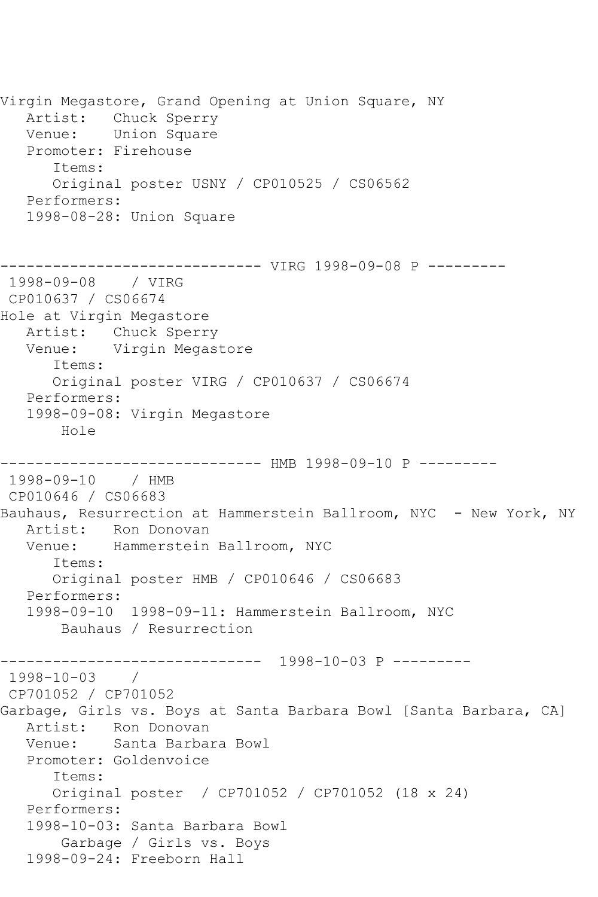Virgin Megastore, Grand Opening at Union Square, NY Artist: Chuck Sperry Venue: Union Square Promoter: Firehouse Items: Original poster USNY / CP010525 / CS06562 Performers: 1998-08-28: Union Square ------------------------------ VIRG 1998-09-08 P --------- 1998-09-08 / VIRG CP010637 / CS06674 Hole at Virgin Megastore Artist: Chuck Sperry Venue: Virgin Megastore Items: Original poster VIRG / CP010637 / CS06674 Performers: 1998-09-08: Virgin Megastore Hole ------------------------------ HMB 1998-09-10 P --------- 1998-09-10 / HMB CP010646 / CS06683 Bauhaus, Resurrection at Hammerstein Ballroom, NYC - New York, NY Artist: Ron Donovan Venue: Hammerstein Ballroom, NYC Items: Original poster HMB / CP010646 / CS06683 Performers: 1998-09-10 1998-09-11: Hammerstein Ballroom, NYC Bauhaus / Resurrection ------------------------------ 1998-10-03 P --------- 1998-10-03 / CP701052 / CP701052 Garbage, Girls vs. Boys at Santa Barbara Bowl [Santa Barbara, CA] Artist: Ron Donovan<br>Venue: Santa Barba Santa Barbara Bowl Promoter: Goldenvoice Items: Original poster / CP701052 / CP701052 (18 x 24) Performers: 1998-10-03: Santa Barbara Bowl Garbage / Girls vs. Boys 1998-09-24: Freeborn Hall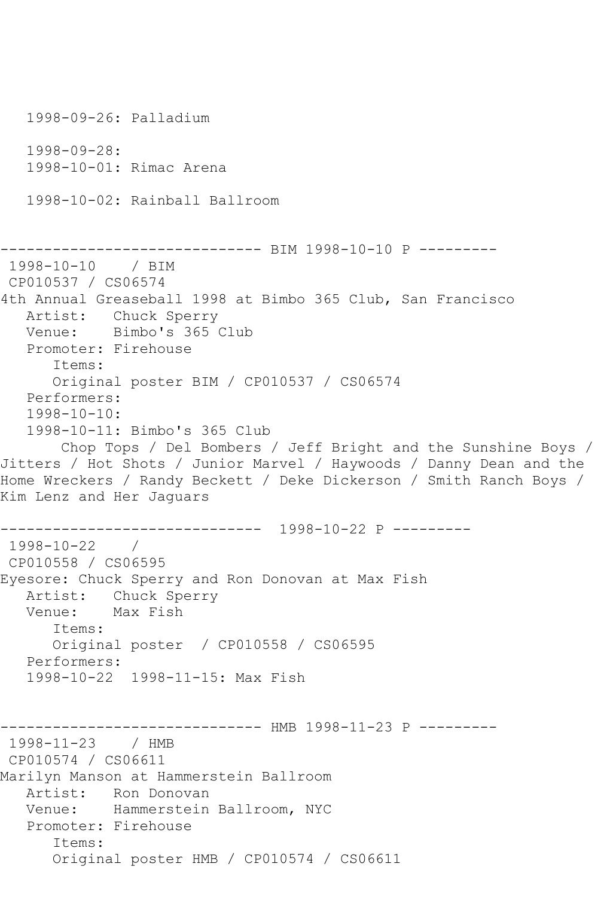1998-09-26: Palladium 1998-09-28: 1998-10-01: Rimac Arena 1998-10-02: Rainball Ballroom ------------------------------ BIM 1998-10-10 P --------- 1998-10-10 / BIM CP010537 / CS06574 4th Annual Greaseball 1998 at Bimbo 365 Club, San Francisco Artist: Chuck Sperry Venue: Bimbo's 365 Club Promoter: Firehouse Items: Original poster BIM / CP010537 / CS06574 Performers: 1998-10-10: 1998-10-11: Bimbo's 365 Club Chop Tops / Del Bombers / Jeff Bright and the Sunshine Boys / Jitters / Hot Shots / Junior Marvel / Haywoods / Danny Dean and the Home Wreckers / Randy Beckett / Deke Dickerson / Smith Ranch Boys / Kim Lenz and Her Jaguars ------------------------------ 1998-10-22 P --------- 1998-10-22 / CP010558 / CS06595 Eyesore: Chuck Sperry and Ron Donovan at Max Fish Artist: Chuck Sperry Venue: Max Fish Items: Original poster / CP010558 / CS06595 Performers: 1998-10-22 1998-11-15: Max Fish ------------------------------ HMB 1998-11-23 P --------- 1998-11-23 / HMB CP010574 / CS06611 Marilyn Manson at Hammerstein Ballroom Artist: Ron Donovan Venue: Hammerstein Ballroom, NYC Promoter: Firehouse Items: Original poster HMB / CP010574 / CS06611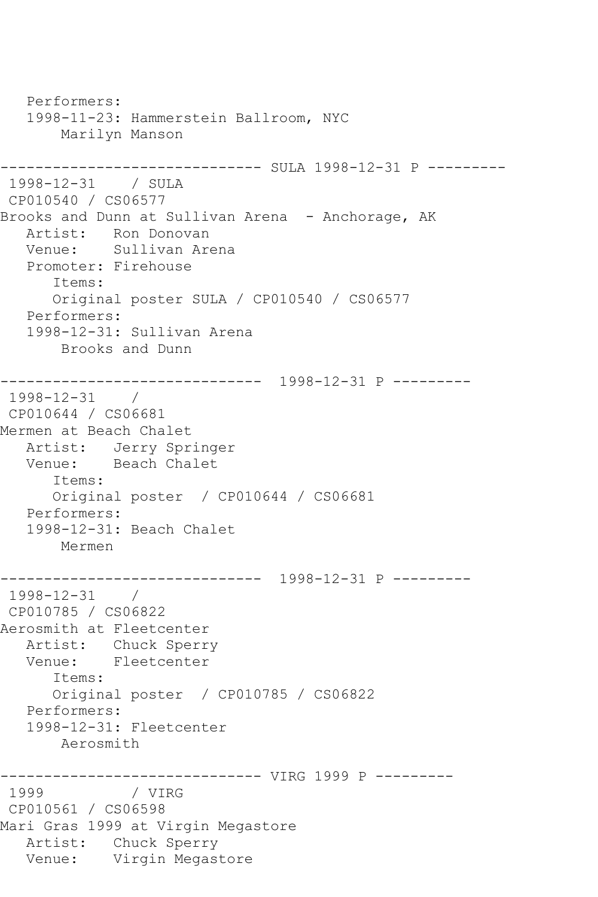Performers: 1998-11-23: Hammerstein Ballroom, NYC Marilyn Manson ------------------------------ SULA 1998-12-31 P --------- 1998-12-31 / SULA CP010540 / CS06577 Brooks and Dunn at Sullivan Arena - Anchorage, AK Artist: Ron Donovan Venue: Sullivan Arena Promoter: Firehouse Items: Original poster SULA / CP010540 / CS06577 Performers: 1998-12-31: Sullivan Arena Brooks and Dunn ------------------------------ 1998-12-31 P --------- 1998-12-31 / CP010644 / CS06681 Mermen at Beach Chalet Artist: Jerry Springer<br>Venue: Beach Chalet Beach Chalet Items: Original poster / CP010644 / CS06681 Performers: 1998-12-31: Beach Chalet Mermen ------------------------------ 1998-12-31 P --------- 1998-12-31 / CP010785 / CS06822 Aerosmith at Fleetcenter Artist: Chuck Sperry Venue: Fleetcenter Items: Original poster / CP010785 / CS06822 Performers: 1998-12-31: Fleetcenter Aerosmith ------------------------------ VIRG 1999 P --------- 1999 / VIRG CP010561 / CS06598 Mari Gras 1999 at Virgin Megastore Artist: Chuck Sperry Venue: Virgin Megastore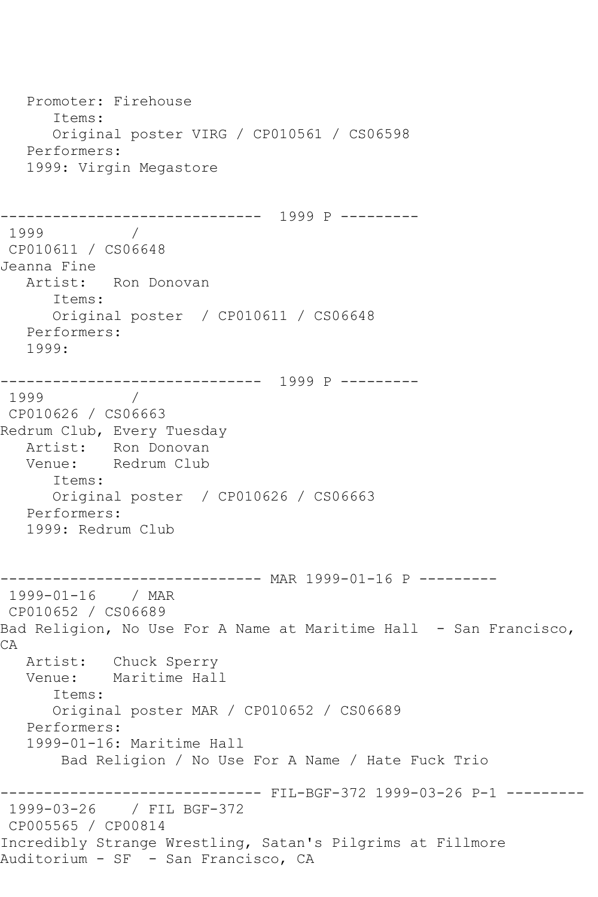Promoter: Firehouse Items: Original poster VIRG / CP010561 / CS06598 Performers: 1999: Virgin Megastore ------------------------------ 1999 P --------- 1999 / CP010611 / CS06648 Jeanna Fine Artist: Ron Donovan Items: Original poster / CP010611 / CS06648 Performers: 1999: ------------------------------ 1999 P --------- 1999 / CP010626 / CS06663 Redrum Club, Every Tuesday Artist: Ron Donovan Venue: Redrum Club Items: Original poster / CP010626 / CS06663 Performers: 1999: Redrum Club ------------------------------ MAR 1999-01-16 P --------- 1999-01-16 / MAR CP010652 / CS06689 Bad Religion, No Use For A Name at Maritime Hall - San Francisco, CA Artist: Chuck Sperry Venue: Maritime Hall Items: Original poster MAR / CP010652 / CS06689 Performers: 1999-01-16: Maritime Hall Bad Religion / No Use For A Name / Hate Fuck Trio ------------------------------ FIL-BGF-372 1999-03-26 P-1 --------- 1999-03-26 / FIL BGF-372 CP005565 / CP00814 Incredibly Strange Wrestling, Satan's Pilgrims at Fillmore Auditorium - SF - San Francisco, CA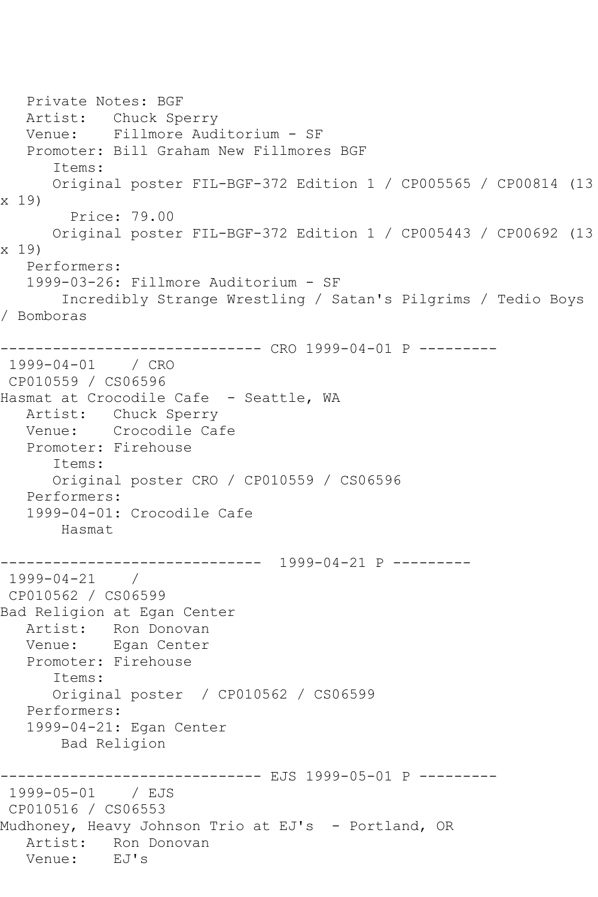```
 Private Notes: BGF
   Artist: Chuck Sperry
   Venue: Fillmore Auditorium - SF
   Promoter: Bill Graham New Fillmores BGF
       Items:
      Original poster FIL-BGF-372 Edition 1 / CP005565 / CP00814 (13 
x 19)
         Price: 79.00
      Original poster FIL-BGF-372 Edition 1 / CP005443 / CP00692 (13 
x 19)
   Performers:
   1999-03-26: Fillmore Auditorium - SF
        Incredibly Strange Wrestling / Satan's Pilgrims / Tedio Boys 
/ Bomboras
------------------------------ CRO 1999-04-01 P ---------
1999-04-01 / CRO 
CP010559 / CS06596
Hasmat at Crocodile Cafe - Seattle, WA
   Artist: Chuck Sperry
   Venue: Crocodile Cafe
   Promoter: Firehouse
      Items:
       Original poster CRO / CP010559 / CS06596
   Performers:
   1999-04-01: Crocodile Cafe
       Hasmat
        ------------------------------ 1999-04-21 P ---------
1999-04-21 / 
CP010562 / CS06599
Bad Religion at Egan Center
   Artist: Ron Donovan
   Venue: Egan Center
   Promoter: Firehouse
       Items:
      Original poster / CP010562 / CS06599
   Performers:
   1999-04-21: Egan Center
       Bad Religion
------------------------------ EJS 1999-05-01 P ---------
1999-05-01 / EJS 
CP010516 / CS06553
Mudhoney, Heavy Johnson Trio at EJ's - Portland, OR
  Artist: Ron Donovan<br>Venue: EJ's
  Venue:
```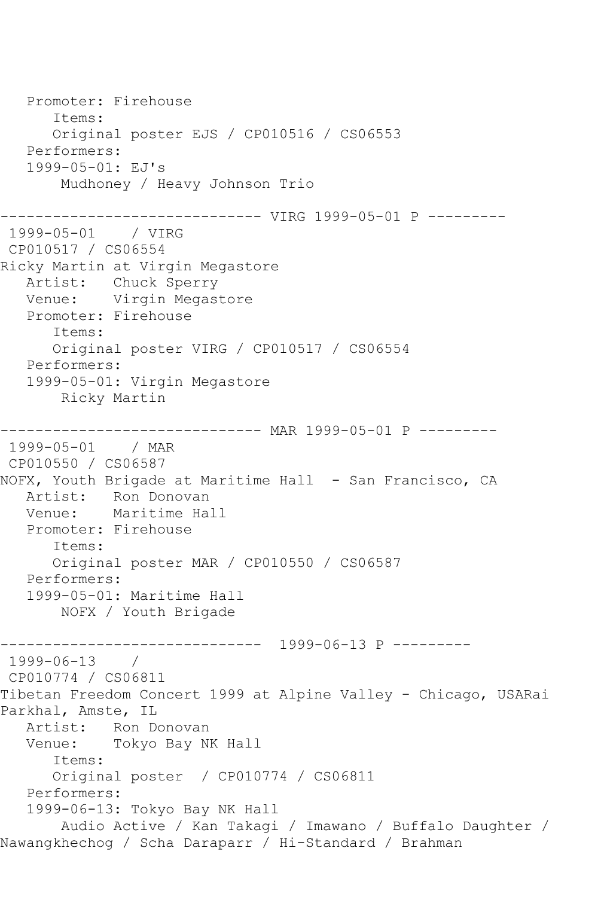Promoter: Firehouse Items: Original poster EJS / CP010516 / CS06553 Performers: 1999-05-01: EJ's Mudhoney / Heavy Johnson Trio ------------------------------ VIRG 1999-05-01 P --------- 1999-05-01 / VIRG CP010517 / CS06554 Ricky Martin at Virgin Megastore Artist: Chuck Sperry Venue: Virgin Megastore Promoter: Firehouse Items: Original poster VIRG / CP010517 / CS06554 Performers: 1999-05-01: Virgin Megastore Ricky Martin ------------------------------ MAR 1999-05-01 P --------- 1999-05-01 / MAR CP010550 / CS06587 NOFX, Youth Brigade at Maritime Hall - San Francisco, CA Artist: Ron Donovan<br>Venue: Maritime Ha Maritime Hall Promoter: Firehouse Items: Original poster MAR / CP010550 / CS06587 Performers: 1999-05-01: Maritime Hall NOFX / Youth Brigade ------------------------------ 1999-06-13 P --------- 1999-06-13 / CP010774 / CS06811 Tibetan Freedom Concert 1999 at Alpine Valley - Chicago, USARai Parkhal, Amste, IL Artist: Ron Donovan<br>Venue: Tokyo Bay N Tokyo Bay NK Hall Items: Original poster / CP010774 / CS06811 Performers: 1999-06-13: Tokyo Bay NK Hall Audio Active / Kan Takagi / Imawano / Buffalo Daughter / Nawangkhechog / Scha Daraparr / Hi-Standard / Brahman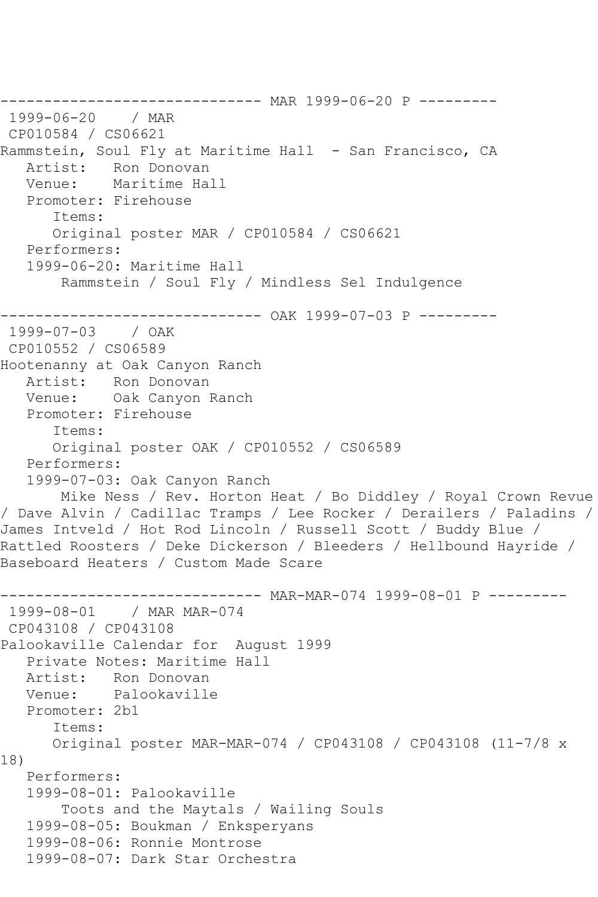```
------------------------------ MAR 1999-06-20 P ---------
1999-06-20 / MAR 
CP010584 / CS06621
Rammstein, Soul Fly at Maritime Hall - San Francisco, CA
   Artist: Ron Donovan
   Venue: Maritime Hall
   Promoter: Firehouse
      Items:
      Original poster MAR / CP010584 / CS06621
   Performers:
   1999-06-20: Maritime Hall
       Rammstein / Soul Fly / Mindless Sel Indulgence
------------------------------ OAK 1999-07-03 P ---------
1999-07-03 / OAK 
CP010552 / CS06589
Hootenanny at Oak Canyon Ranch
   Artist: Ron Donovan
   Venue: Oak Canyon Ranch
   Promoter: Firehouse
      Items:
      Original poster OAK / CP010552 / CS06589
   Performers:
   1999-07-03: Oak Canyon Ranch
       Mike Ness / Rev. Horton Heat / Bo Diddley / Royal Crown Revue 
/ Dave Alvin / Cadillac Tramps / Lee Rocker / Derailers / Paladins / 
James Intveld / Hot Rod Lincoln / Russell Scott / Buddy Blue / 
Rattled Roosters / Deke Dickerson / Bleeders / Hellbound Hayride / 
Baseboard Heaters / Custom Made Scare
------------------------------ MAR-MAR-074 1999-08-01 P ---------
1999-08-01 / MAR MAR-074
CP043108 / CP043108
Palookaville Calendar for August 1999
   Private Notes: Maritime Hall
   Artist: Ron Donovan
   Venue: Palookaville
   Promoter: 2b1
      Items:
      Original poster MAR-MAR-074 / CP043108 / CP043108 (11-7/8 x 
18)
   Performers:
   1999-08-01: Palookaville
        Toots and the Maytals / Wailing Souls
   1999-08-05: Boukman / Enksperyans
   1999-08-06: Ronnie Montrose
   1999-08-07: Dark Star Orchestra
```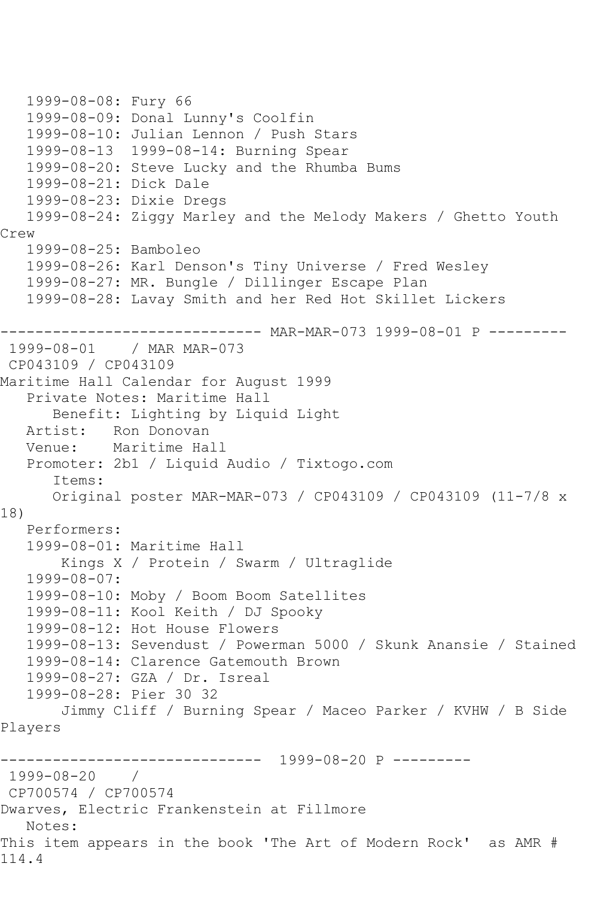```
 1999-08-08: Fury 66
   1999-08-09: Donal Lunny's Coolfin
   1999-08-10: Julian Lennon / Push Stars
   1999-08-13 1999-08-14: Burning Spear
   1999-08-20: Steve Lucky and the Rhumba Bums
   1999-08-21: Dick Dale
    1999-08-23: Dixie Dregs
   1999-08-24: Ziggy Marley and the Melody Makers / Ghetto Youth 
Crew
    1999-08-25: Bamboleo
   1999-08-26: Karl Denson's Tiny Universe / Fred Wesley
    1999-08-27: MR. Bungle / Dillinger Escape Plan
    1999-08-28: Lavay Smith and her Red Hot Skillet Lickers
       ------------------------------ MAR-MAR-073 1999-08-01 P ---------
1999-08-01 / MAR MAR-073
CP043109 / CP043109
Maritime Hall Calendar for August 1999
   Private Notes: Maritime Hall
       Benefit: Lighting by Liquid Light
   Artist: Ron Donovan
   Venue: Maritime Hall
   Promoter: 2b1 / Liquid Audio / Tixtogo.com
       Items:
       Original poster MAR-MAR-073 / CP043109 / CP043109 (11-7/8 x 
18)
   Performers:
    1999-08-01: Maritime Hall
        Kings X / Protein / Swarm / Ultraglide
    1999-08-07:
   1999-08-10: Moby / Boom Boom Satellites
   1999-08-11: Kool Keith / DJ Spooky
    1999-08-12: Hot House Flowers
   1999-08-13: Sevendust / Powerman 5000 / Skunk Anansie / Stained
   1999-08-14: Clarence Gatemouth Brown
   1999-08-27: GZA / Dr. Isreal
    1999-08-28: Pier 30 32
        Jimmy Cliff / Burning Spear / Maceo Parker / KVHW / B Side 
Players
                  ------------------------------ 1999-08-20 P ---------
1999-08-20 / 
CP700574 / CP700574
Dwarves, Electric Frankenstein at Fillmore
   Notes: 
This item appears in the book 'The Art of Modern Rock' as AMR # 
114.4
```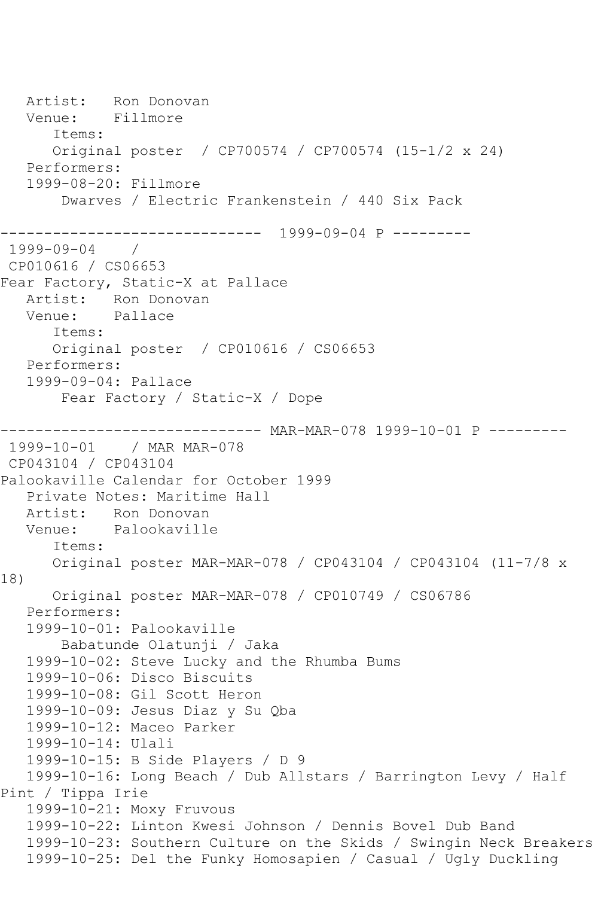Artist: Ron Donovan<br>Venue: Fillmore Venue: Items: Original poster / CP700574 / CP700574 (15-1/2 x 24) Performers: 1999-08-20: Fillmore Dwarves / Electric Frankenstein / 440 Six Pack ------------------------------ 1999-09-04 P --------- 1999-09-04 / CP010616 / CS06653 Fear Factory, Static-X at Pallace Artist: Ron Donovan Venue: Pallace Items: Original poster / CP010616 / CS06653 Performers: 1999-09-04: Pallace Fear Factory / Static-X / Dope ------------------------------ MAR-MAR-078 1999-10-01 P --------- 1999-10-01 / MAR MAR-078 CP043104 / CP043104 Palookaville Calendar for October 1999 Private Notes: Maritime Hall Artist: Ron Donovan Venue: Palookaville Items: Original poster MAR-MAR-078 / CP043104 / CP043104 (11-7/8 x 18) Original poster MAR-MAR-078 / CP010749 / CS06786 Performers: 1999-10-01: Palookaville Babatunde Olatunji / Jaka 1999-10-02: Steve Lucky and the Rhumba Bums 1999-10-06: Disco Biscuits 1999-10-08: Gil Scott Heron 1999-10-09: Jesus Diaz y Su Qba 1999-10-12: Maceo Parker 1999-10-14: Ulali 1999-10-15: B Side Players / D 9 1999-10-16: Long Beach / Dub Allstars / Barrington Levy / Half Pint / Tippa Irie 1999-10-21: Moxy Fruvous 1999-10-22: Linton Kwesi Johnson / Dennis Bovel Dub Band 1999-10-23: Southern Culture on the Skids / Swingin Neck Breakers 1999-10-25: Del the Funky Homosapien / Casual / Ugly Duckling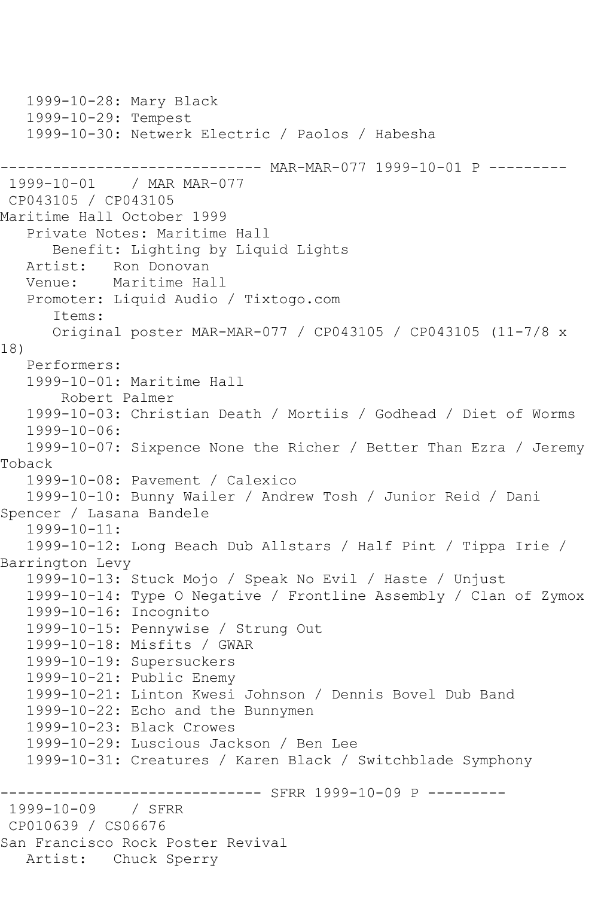1999-10-28: Mary Black 1999-10-29: Tempest 1999-10-30: Netwerk Electric / Paolos / Habesha ------------------------------ MAR-MAR-077 1999-10-01 P --------- 1999-10-01 / MAR MAR-077 CP043105 / CP043105 Maritime Hall October 1999 Private Notes: Maritime Hall Benefit: Lighting by Liquid Lights<br>Artist: Ron Donovan Artist: Ron Donovan<br>Venue: Maritime Ha Maritime Hall Promoter: Liquid Audio / Tixtogo.com Items: Original poster MAR-MAR-077 / CP043105 / CP043105 (11-7/8 x 18) Performers: 1999-10-01: Maritime Hall Robert Palmer 1999-10-03: Christian Death / Mortiis / Godhead / Diet of Worms 1999-10-06: 1999-10-07: Sixpence None the Richer / Better Than Ezra / Jeremy Toback 1999-10-08: Pavement / Calexico 1999-10-10: Bunny Wailer / Andrew Tosh / Junior Reid / Dani Spencer / Lasana Bandele 1999-10-11: 1999-10-12: Long Beach Dub Allstars / Half Pint / Tippa Irie / Barrington Levy 1999-10-13: Stuck Mojo / Speak No Evil / Haste / Unjust 1999-10-14: Type O Negative / Frontline Assembly / Clan of Zymox 1999-10-16: Incognito 1999-10-15: Pennywise / Strung Out 1999-10-18: Misfits / GWAR 1999-10-19: Supersuckers 1999-10-21: Public Enemy 1999-10-21: Linton Kwesi Johnson / Dennis Bovel Dub Band 1999-10-22: Echo and the Bunnymen 1999-10-23: Black Crowes 1999-10-29: Luscious Jackson / Ben Lee 1999-10-31: Creatures / Karen Black / Switchblade Symphony ---------------- SFRR 1999-10-09 P ---------<br>/ SFRR 1999-10-09 CP010639 / CS06676 San Francisco Rock Poster Revival Artist: Chuck Sperry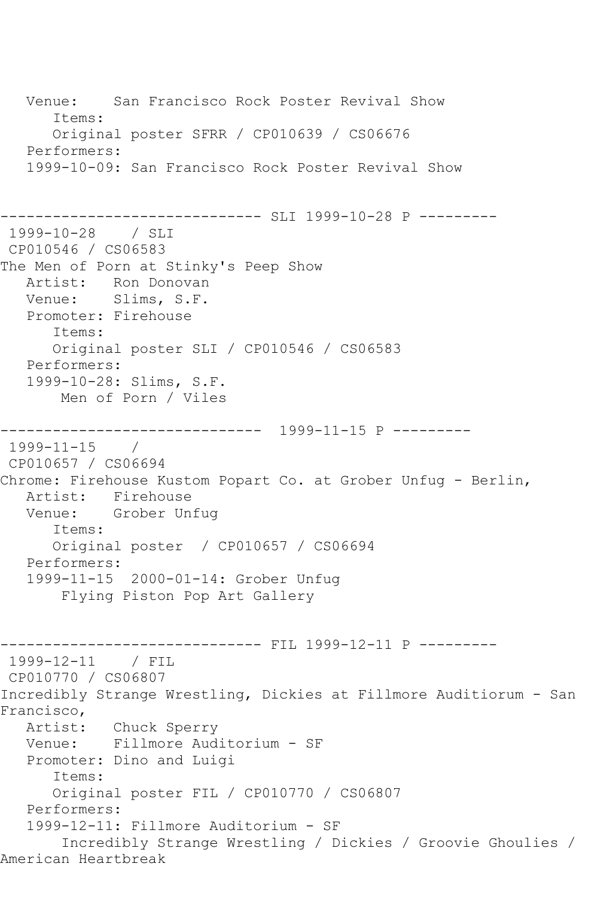Venue: San Francisco Rock Poster Revival Show Items: Original poster SFRR / CP010639 / CS06676 Performers: 1999-10-09: San Francisco Rock Poster Revival Show ------------------------------ SLI 1999-10-28 P --------- 1999-10-28 / SLI CP010546 / CS06583 The Men of Porn at Stinky's Peep Show Artist: Ron Donovan<br>Venue: Slims, S.F. Slims, S.F. Promoter: Firehouse Items: Original poster SLI / CP010546 / CS06583 Performers: 1999-10-28: Slims, S.F. Men of Porn / Viles ------------------------------ 1999-11-15 P --------- 1999-11-15 / CP010657 / CS06694 Chrome: Firehouse Kustom Popart Co. at Grober Unfug - Berlin, Artist: Firehouse<br>Venue: Grober Un Grober Unfug Items: Original poster / CP010657 / CS06694 Performers: 1999-11-15 2000-01-14: Grober Unfug Flying Piston Pop Art Gallery ------------------------------ FIL 1999-12-11 P --------- 1999-12-11 / FIL CP010770 / CS06807 Incredibly Strange Wrestling, Dickies at Fillmore Auditiorum - San Francisco, Artist: Chuck Sperry Venue: Fillmore Auditorium - SF Promoter: Dino and Luigi Items: Original poster FIL / CP010770 / CS06807 Performers: 1999-12-11: Fillmore Auditorium - SF Incredibly Strange Wrestling / Dickies / Groovie Ghoulies / American Heartbreak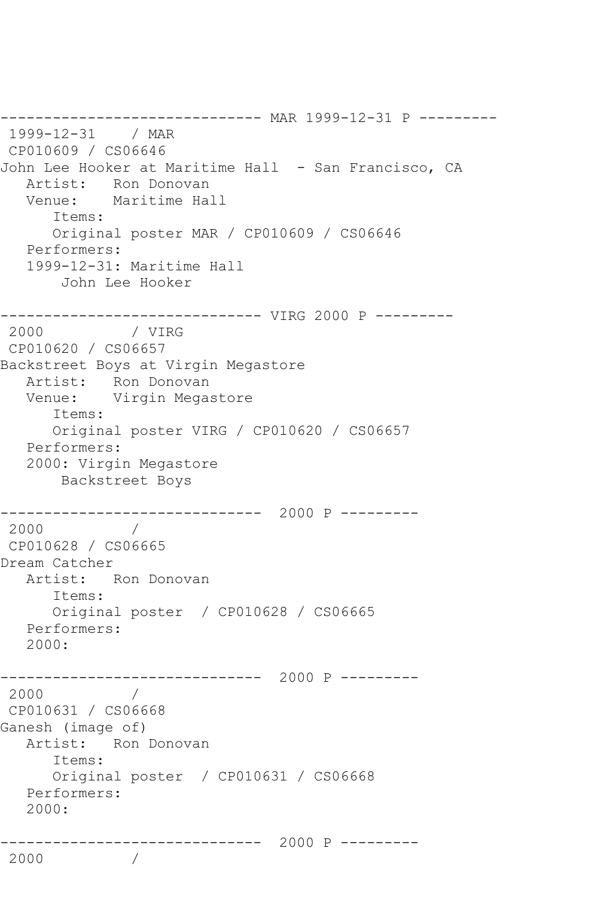------------------------------ MAR 1999-12-31 P --------- 1999-12-31 / MAR CP010609 / CS06646 John Lee Hooker at Maritime Hall - San Francisco, CA Artist: Ron Donovan<br>Venue: Maritime Hal Maritime Hall Items: Original poster MAR / CP010609 / CS06646 Performers: 1999-12-31: Maritime Hall John Lee Hooker -------------------------------- VIRG 2000 P ---------<br>2000 / VIRG / VIRG CP010620 / CS06657 Backstreet Boys at Virgin Megastore Artist: Ron Donovan Venue: Virgin Megastore Items: Original poster VIRG / CP010620 / CS06657 Performers: 2000: Virgin Megastore Backstreet Boys ------------------------------ 2000 P --------- 2000 / CP010628 / CS06665 Dream Catcher Artist: Ron Donovan Items: Original poster / CP010628 / CS06665 Performers: 2000: ------------------------------ 2000 P --------- 2000 / CP010631 / CS06668 Ganesh (image of) Artist: Ron Donovan Items: Original poster / CP010631 / CS06668 Performers: 2000: ------------------------------ 2000 P --------- 2000 /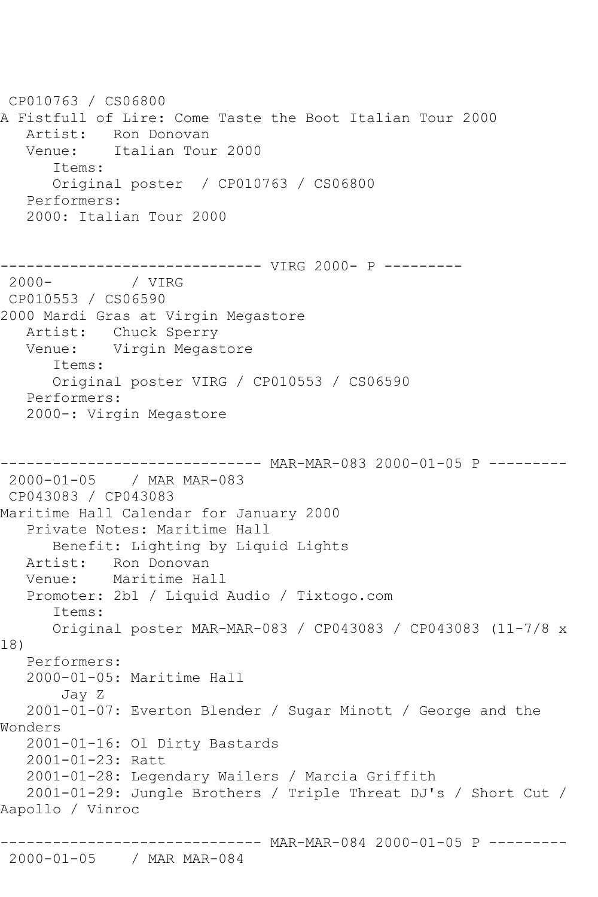CP010763 / CS06800 A Fistfull of Lire: Come Taste the Boot Italian Tour 2000 Artist: Ron Donovan Venue: Italian Tour 2000 Items: Original poster / CP010763 / CS06800 Performers: 2000: Italian Tour 2000 ------------------------------ VIRG 2000- P --------- 2000- / VIRG CP010553 / CS06590 2000 Mardi Gras at Virgin Megastore Artist: Chuck Sperry Venue: Virgin Megastore Items: Original poster VIRG / CP010553 / CS06590 Performers: 2000-: Virgin Megastore ------------------------------ MAR-MAR-083 2000-01-05 P --------- 2000-01-05 / MAR MAR-083 CP043083 / CP043083 Maritime Hall Calendar for January 2000 Private Notes: Maritime Hall Benefit: Lighting by Liquid Lights Artist: Ron Donovan Venue: Maritime Hall Promoter: 2b1 / Liquid Audio / Tixtogo.com Items: Original poster MAR-MAR-083 / CP043083 / CP043083 (11-7/8 x 18) Performers: 2000-01-05: Maritime Hall Jay Z 2001-01-07: Everton Blender / Sugar Minott / George and the Wonders 2001-01-16: Ol Dirty Bastards 2001-01-23: Ratt 2001-01-28: Legendary Wailers / Marcia Griffith 2001-01-29: Jungle Brothers / Triple Threat DJ's / Short Cut / Aapollo / Vinroc ------------------------------ MAR-MAR-084 2000-01-05 P ---------

## 2000-01-05 / MAR MAR-084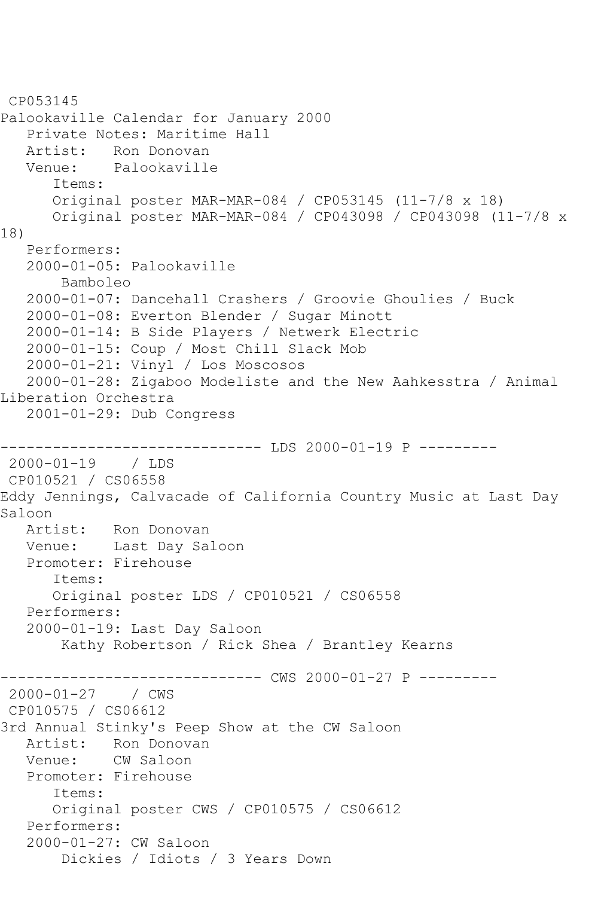CP053145 Palookaville Calendar for January 2000 Private Notes: Maritime Hall Artist: Ron Donovan<br>Venue: Palookavill Palookaville Items: Original poster MAR-MAR-084 / CP053145 (11-7/8 x 18) Original poster MAR-MAR-084 / CP043098 / CP043098 (11-7/8 x 18) Performers: 2000-01-05: Palookaville Bamboleo 2000-01-07: Dancehall Crashers / Groovie Ghoulies / Buck 2000-01-08: Everton Blender / Sugar Minott 2000-01-14: B Side Players / Netwerk Electric 2000-01-15: Coup / Most Chill Slack Mob 2000-01-21: Vinyl / Los Moscosos 2000-01-28: Zigaboo Modeliste and the New Aahkesstra / Animal Liberation Orchestra 2001-01-29: Dub Congress ------------ LDS 2000-01-19 P ----------2000-01-19 / LDS CP010521 / CS06558 Eddy Jennings, Calvacade of California Country Music at Last Day Saloon<br>Artist: Ron Donovan Venue: Last Day Saloon Promoter: Firehouse Items: Original poster LDS / CP010521 / CS06558 Performers: 2000-01-19: Last Day Saloon Kathy Robertson / Rick Shea / Brantley Kearns ------------------------------ CWS 2000-01-27 P --------- 2000-01-27 / CWS CP010575 / CS06612 3rd Annual Stinky's Peep Show at the CW Saloon<br>Artist: Ron Donovan Artist: Ron Donovan<br>Venue: CW Saloon CW Saloon Promoter: Firehouse Items: Original poster CWS / CP010575 / CS06612 Performers: 2000-01-27: CW Saloon Dickies / Idiots / 3 Years Down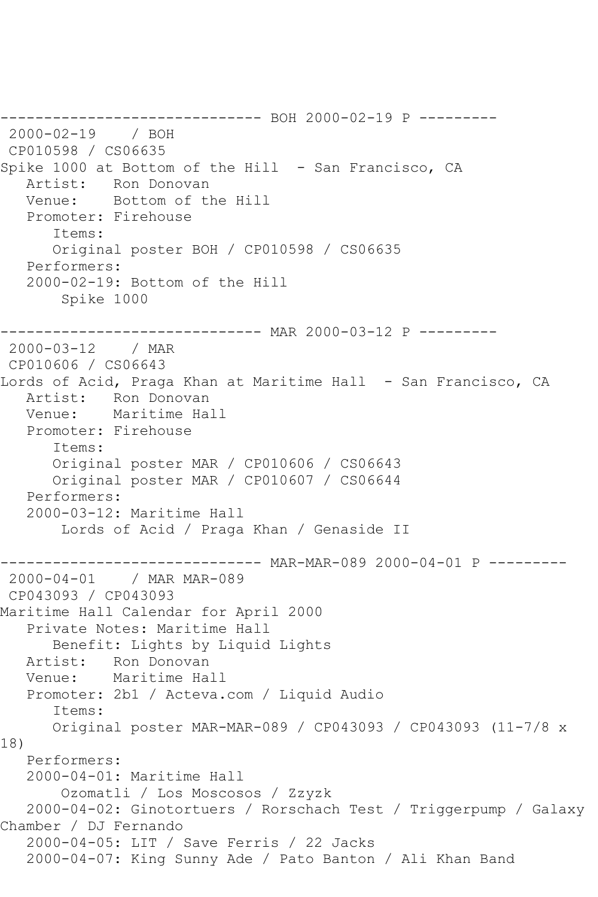------------------------------ BOH 2000-02-19 P --------- 2000-02-19 / BOH CP010598 / CS06635 Spike 1000 at Bottom of the Hill - San Francisco, CA Artist: Ron Donovan Venue: Bottom of the Hill Promoter: Firehouse Items: Original poster BOH / CP010598 / CS06635 Performers: 2000-02-19: Bottom of the Hill Spike 1000 ------------------------------ MAR 2000-03-12 P --------- 2000-03-12 / MAR CP010606 / CS06643 Lords of Acid, Praga Khan at Maritime Hall - San Francisco, CA Artist: Ron Donovan Venue: Maritime Hall Promoter: Firehouse Items: Original poster MAR / CP010606 / CS06643 Original poster MAR / CP010607 / CS06644 Performers: 2000-03-12: Maritime Hall Lords of Acid / Praga Khan / Genaside II ---------- MAR-MAR-089 2000-04-01 P ---------2000-04-01 / MAR MAR-089 CP043093 / CP043093 Maritime Hall Calendar for April 2000 Private Notes: Maritime Hall Benefit: Lights by Liquid Lights Artist: Ron Donovan Venue: Maritime Hall Promoter: 2b1 / Acteva.com / Liquid Audio Items: Original poster MAR-MAR-089 / CP043093 / CP043093 (11-7/8 x 18) Performers: 2000-04-01: Maritime Hall Ozomatli / Los Moscosos / Zzyzk 2000-04-02: Ginotortuers / Rorschach Test / Triggerpump / Galaxy Chamber / DJ Fernando 2000-04-05: LIT / Save Ferris / 22 Jacks 2000-04-07: King Sunny Ade / Pato Banton / Ali Khan Band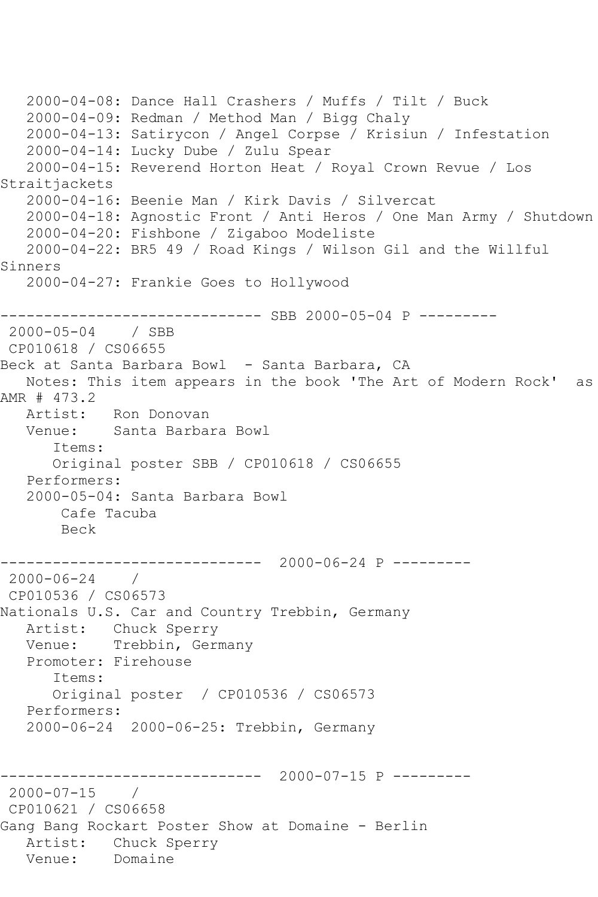```
 2000-04-08: Dance Hall Crashers / Muffs / Tilt / Buck
   2000-04-09: Redman / Method Man / Bigg Chaly
   2000-04-13: Satirycon / Angel Corpse / Krisiun / Infestation
   2000-04-14: Lucky Dube / Zulu Spear
   2000-04-15: Reverend Horton Heat / Royal Crown Revue / Los 
Straitjackets
   2000-04-16: Beenie Man / Kirk Davis / Silvercat
   2000-04-18: Agnostic Front / Anti Heros / One Man Army / Shutdown
   2000-04-20: Fishbone / Zigaboo Modeliste
   2000-04-22: BR5 49 / Road Kings / Wilson Gil and the Willful 
Sinners
   2000-04-27: Frankie Goes to Hollywood
------------------------------ SBB 2000-05-04 P ---------
2000-05-04 / SBB 
CP010618 / CS06655
Beck at Santa Barbara Bowl - Santa Barbara, CA
   Notes: This item appears in the book 'The Art of Modern Rock' as 
AMR # 473.2
   Artist: Ron Donovan
   Venue: Santa Barbara Bowl
       Items:
      Original poster SBB / CP010618 / CS06655
   Performers:
   2000-05-04: Santa Barbara Bowl
       Cafe Tacuba
       Beck
        ------------------------------ 2000-06-24 P ---------
2000-06-24 / 
CP010536 / CS06573
Nationals U.S. Car and Country Trebbin, Germany
   Artist: Chuck Sperry
   Venue: Trebbin, Germany
   Promoter: Firehouse
       Items:
      Original poster / CP010536 / CS06573
   Performers:
   2000-06-24 2000-06-25: Trebbin, Germany
           ------------------------------ 2000-07-15 P ---------
2000-07-15 / 
CP010621 / CS06658
Gang Bang Rockart Poster Show at Domaine - Berlin
  Artist: Chuck Sperry<br>Venue: Domaine
  Venue:
```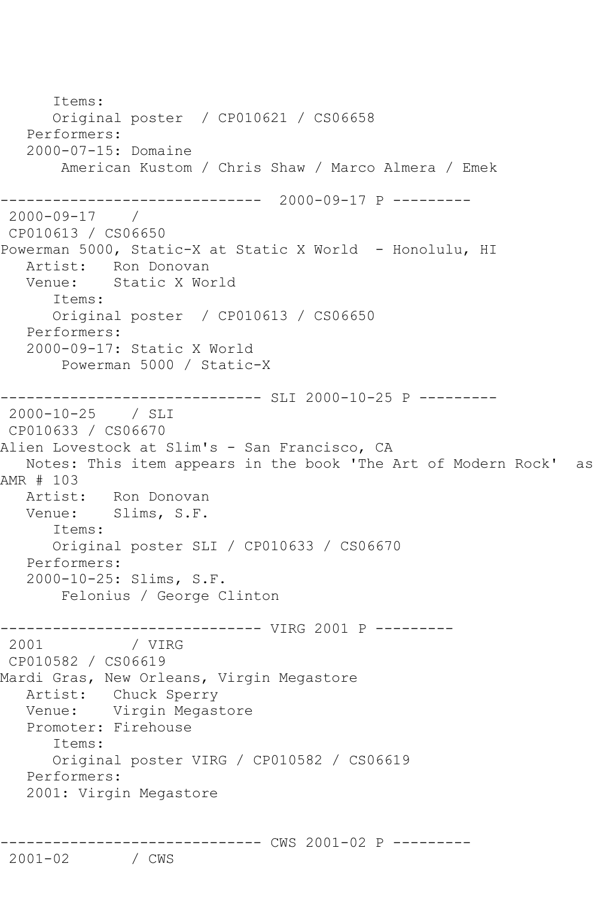```
 Items:
       Original poster / CP010621 / CS06658
   Performers:
   2000-07-15: Domaine
        American Kustom / Chris Shaw / Marco Almera / Emek
------------------------------ 2000-09-17 P ---------
2000-09-17 / 
CP010613 / CS06650
Powerman 5000, Static-X at Static X World - Honolulu, HI
  Artist: Ron Donovan<br>Venue: Static X Wo
            Static X World
       Items:
       Original poster / CP010613 / CS06650
   Performers:
    2000-09-17: Static X World
        Powerman 5000 / Static-X
------------------------------ SLI 2000-10-25 P ---------
2000-10-25 / SLI 
CP010633 / CS06670
Alien Lovestock at Slim's - San Francisco, CA
   Notes: This item appears in the book 'The Art of Modern Rock' as 
AMR # 103
  Artist: Ron Donovan<br>Venue: Slims, S.F.
            Slims, S.F.
       Items:
       Original poster SLI / CP010633 / CS06670
   Performers:
    2000-10-25: Slims, S.F.
        Felonius / George Clinton
------------------------------ VIRG 2001 P ---------
2001 / VIRG 
CP010582 / CS06619
Mardi Gras, New Orleans, Virgin Megastore
   Artist: Chuck Sperry
   Venue: Virgin Megastore
   Promoter: Firehouse
       Items:
       Original poster VIRG / CP010582 / CS06619
   Performers:
    2001: Virgin Megastore
 -------------------------------- CWS 2001-02 P ---------<br>2001-02    / CWS
2001 - 02
```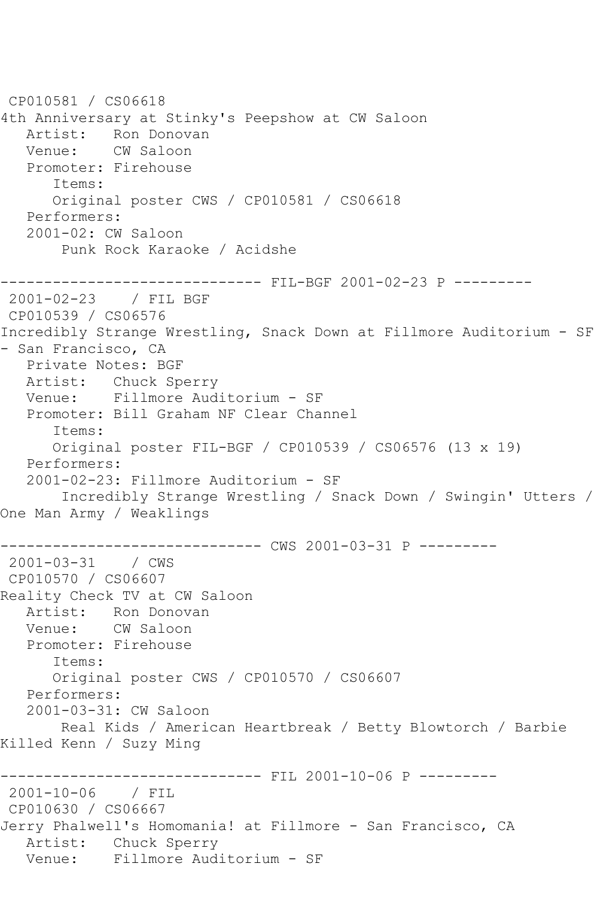```
CP010581 / CS06618
4th Anniversary at Stinky's Peepshow at CW Saloon
           Ron Donovan
   Venue: CW Saloon
   Promoter: Firehouse
       Items:
      Original poster CWS / CP010581 / CS06618
   Performers:
   2001-02: CW Saloon
        Punk Rock Karaoke / Acidshe
         ------------------------------ FIL-BGF 2001-02-23 P ---------
2001-02-23 / FIL BGF
CP010539 / CS06576
Incredibly Strange Wrestling, Snack Down at Fillmore Auditorium - SF 
- San Francisco, CA
   Private Notes: BGF
   Artist: Chuck Sperry
   Venue: Fillmore Auditorium - SF
   Promoter: Bill Graham NF Clear Channel
       Items:
       Original poster FIL-BGF / CP010539 / CS06576 (13 x 19)
   Performers:
   2001-02-23: Fillmore Auditorium - SF
        Incredibly Strange Wrestling / Snack Down / Swingin' Utters / 
One Man Army / Weaklings
------------------------------ CWS 2001-03-31 P ---------
2001-03-31 / CWS 
CP010570 / CS06607
Reality Check TV at CW Saloon
  Artist: Ron Donovan<br>Venue: CW Saloon
            CW Saloon
   Promoter: Firehouse
       Items:
      Original poster CWS / CP010570 / CS06607
   Performers:
   2001-03-31: CW Saloon
       Real Kids / American Heartbreak / Betty Blowtorch / Barbie 
Killed Kenn / Suzy Ming
------------------------------ FIL 2001-10-06 P ---------
2001-10-06 / FIL 
CP010630 / CS06667
Jerry Phalwell's Homomania! at Fillmore - San Francisco, CA
   Artist: Chuck Sperry
   Venue: Fillmore Auditorium - SF
```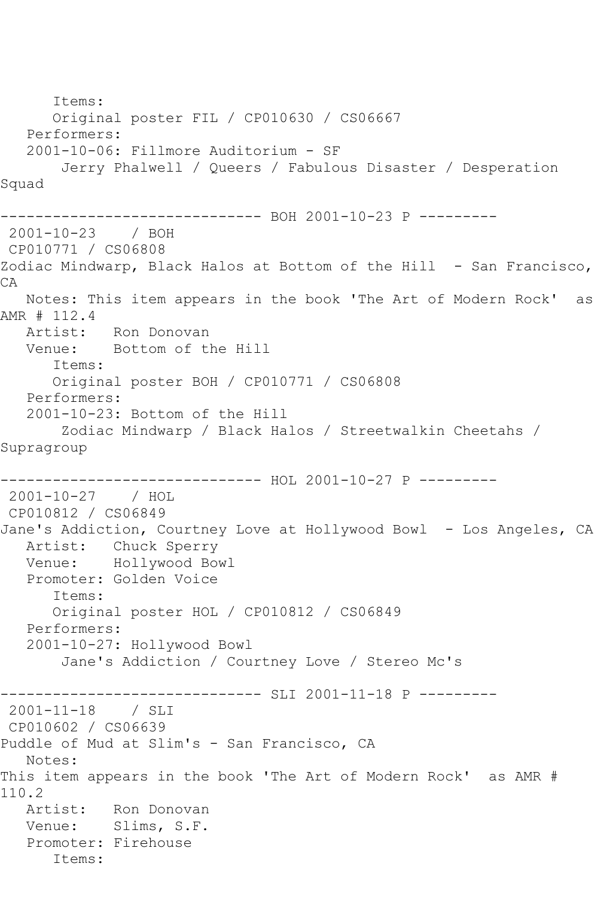```
 Items:
      Original poster FIL / CP010630 / CS06667
   Performers:
   2001-10-06: Fillmore Auditorium - SF
       Jerry Phalwell / Queers / Fabulous Disaster / Desperation 
Squad
------------------------------ BOH 2001-10-23 P ---------
2001-10-23 / BOH 
CP010771 / CS06808
Zodiac Mindwarp, Black Halos at Bottom of the Hill - San Francisco, 
CA
   Notes: This item appears in the book 'The Art of Modern Rock' as 
AMR # 112.4
   Artist: Ron Donovan
   Venue: Bottom of the Hill
      Items:
      Original poster BOH / CP010771 / CS06808
   Performers:
   2001-10-23: Bottom of the Hill
        Zodiac Mindwarp / Black Halos / Streetwalkin Cheetahs / 
Supragroup
------------------------------ HOL 2001-10-27 P ---------
2001-10-27 / HOL 
CP010812 / CS06849
Jane's Addiction, Courtney Love at Hollywood Bowl - Los Angeles, CA
   Artist: Chuck Sperry
   Venue: Hollywood Bowl
   Promoter: Golden Voice
      Items:
      Original poster HOL / CP010812 / CS06849
   Performers:
   2001-10-27: Hollywood Bowl
       Jane's Addiction / Courtney Love / Stereo Mc's
------------------------------ SLI 2001-11-18 P ---------
2001-11-18 / SLI 
CP010602 / CS06639
Puddle of Mud at Slim's - San Francisco, CA
   Notes: 
This item appears in the book 'The Art of Modern Rock' as AMR # 
110.2
   Artist: Ron Donovan
   Venue: Slims, S.F.
   Promoter: Firehouse
      Items:
```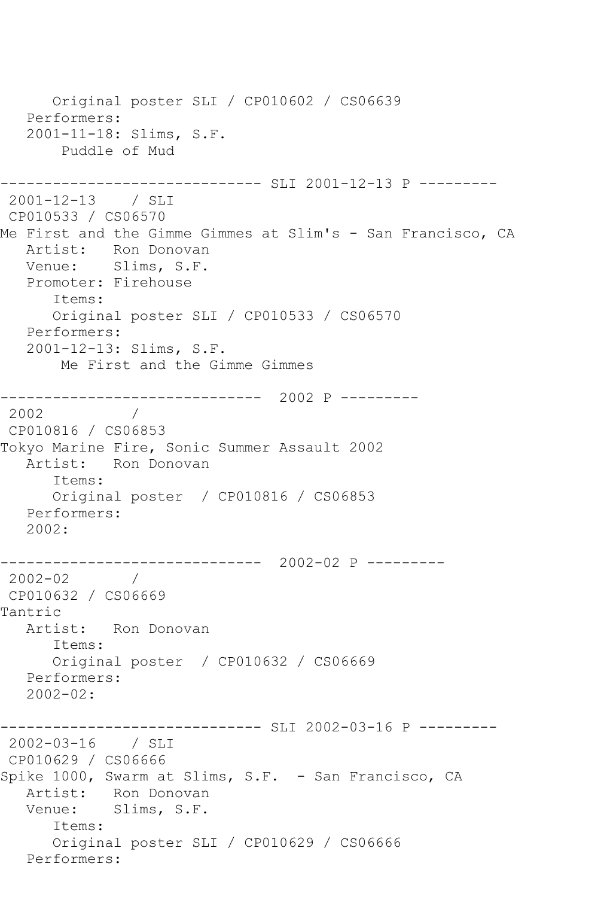Original poster SLI / CP010602 / CS06639 Performers: 2001-11-18: Slims, S.F. Puddle of Mud ------------------------------ SLI 2001-12-13 P --------- 2001-12-13 / SLI CP010533 / CS06570 Me First and the Gimme Gimmes at Slim's - San Francisco, CA Artist: Ron Donovan Venue: Slims, S.F. Promoter: Firehouse Items: Original poster SLI / CP010533 / CS06570 Performers: 2001-12-13: Slims, S.F. Me First and the Gimme Gimmes ------------------------------ 2002 P --------- 2002 / CP010816 / CS06853 Tokyo Marine Fire, Sonic Summer Assault 2002 Artist: Ron Donovan Items: Original poster / CP010816 / CS06853 Performers: 2002: ------------------------------ 2002-02 P --------- 2002-02 / CP010632 / CS06669 Tantric Artist: Ron Donovan Items: Original poster / CP010632 / CS06669 Performers: 2002-02: ------------------------------ SLI 2002-03-16 P --------- 2002-03-16 / SLI CP010629 / CS06666 Spike 1000, Swarm at Slims, S.F. - San Francisco, CA Artist: Ron Donovan<br>Venue: Slims, S.F. Slims, S.F. Items: Original poster SLI / CP010629 / CS06666 Performers: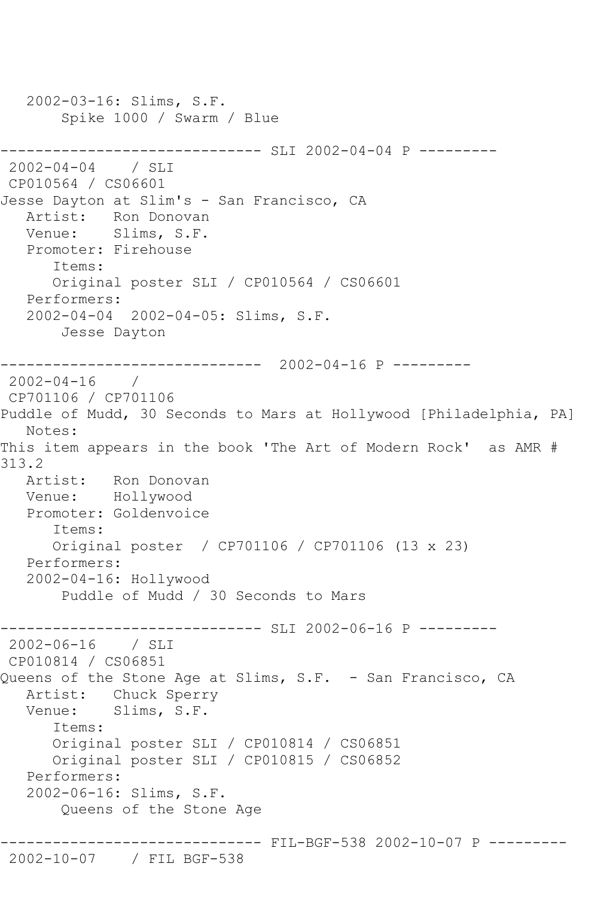```
 2002-03-16: Slims, S.F.
        Spike 1000 / Swarm / Blue
------------------------------ SLI 2002-04-04 P ---------
2002-04-04 / SLI 
CP010564 / CS06601
Jesse Dayton at Slim's - San Francisco, CA
   Artist: Ron Donovan
   Venue: Slims, S.F.
   Promoter: Firehouse
      Items:
      Original poster SLI / CP010564 / CS06601
   Performers:
   2002-04-04 2002-04-05: Slims, S.F.
       Jesse Dayton
------------------------------ 2002-04-16 P ---------
2002-04-16 / 
CP701106 / CP701106
Puddle of Mudd, 30 Seconds to Mars at Hollywood [Philadelphia, PA]
   Notes: 
This item appears in the book 'The Art of Modern Rock' as AMR # 
313.2
   Artist: Ron Donovan
   Venue: Hollywood
   Promoter: Goldenvoice
      Items:
      Original poster / CP701106 / CP701106 (13 x 23)
   Performers:
   2002-04-16: Hollywood
       Puddle of Mudd / 30 Seconds to Mars
------------------------------ SLI 2002-06-16 P ---------
2002-06-16 / SLI 
CP010814 / CS06851
Queens of the Stone Age at Slims, S.F. - San Francisco, CA
   Artist: Chuck Sperry
   Venue: Slims, S.F.
      Items:
      Original poster SLI / CP010814 / CS06851
      Original poster SLI / CP010815 / CS06852
   Performers:
   2002-06-16: Slims, S.F.
       Queens of the Stone Age
------------------------------ FIL-BGF-538 2002-10-07 P ---------
2002-10-07 / FIL BGF-538
```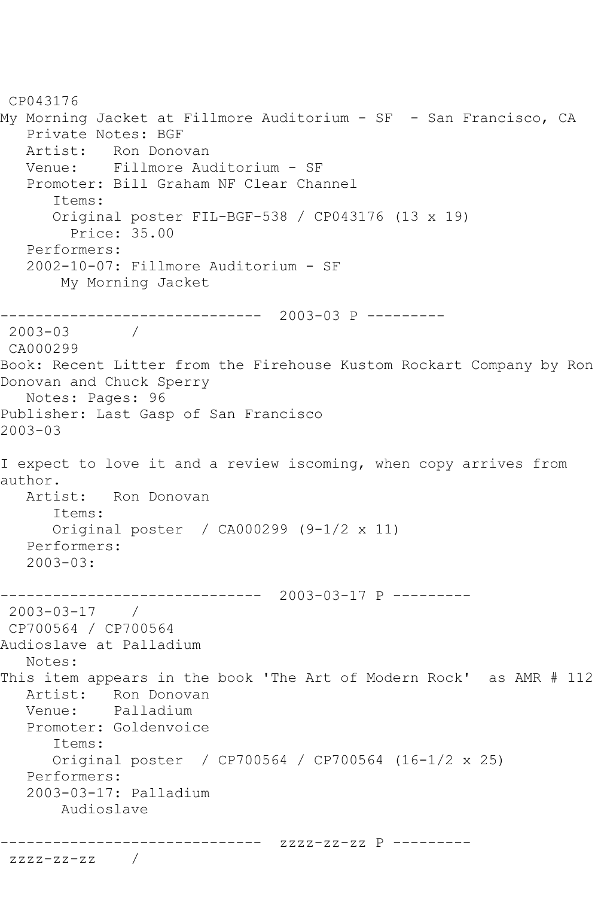CP043176 My Morning Jacket at Fillmore Auditorium - SF - San Francisco, CA Private Notes: BGF Artist: Ron Donovan<br>Venue: Fillmore Aud Venue: Fillmore Auditorium - SF Promoter: Bill Graham NF Clear Channel Items: Original poster FIL-BGF-538 / CP043176 (13 x 19) Price: 35.00 Performers: 2002-10-07: Fillmore Auditorium - SF My Morning Jacket ------------------------------ 2003-03 P ---------  $2003 - 03$ CA000299 Book: Recent Litter from the Firehouse Kustom Rockart Company by Ron Donovan and Chuck Sperry Notes: Pages: 96 Publisher: Last Gasp of San Francisco 2003-03 I expect to love it and a review iscoming, when copy arrives from author. Artist: Ron Donovan Items: Original poster / CA000299 (9-1/2 x 11) Performers: 2003-03: ------------------------------ 2003-03-17 P --------- 2003-03-17 / CP700564 / CP700564 Audioslave at Palladium Notes: This item appears in the book 'The Art of Modern Rock' as AMR # 112 Artist: Ron Donovan Venue: Palladium Promoter: Goldenvoice Items: Original poster / CP700564 / CP700564 (16-1/2 x 25) Performers: 2003-03-17: Palladium Audioslave ------------------------------ zzzz-zz-zz P -------- zzzz-zz-zz /